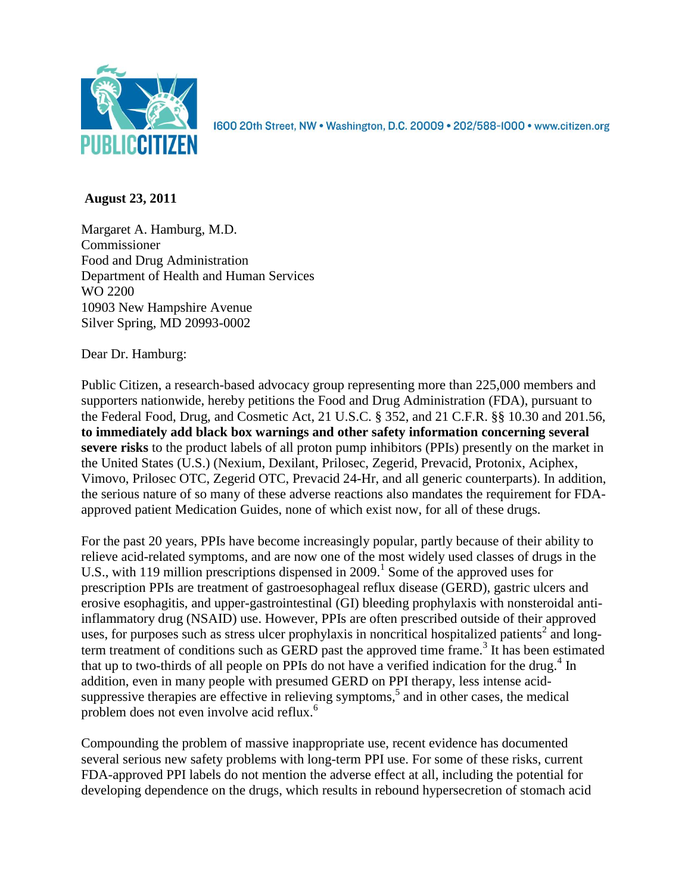

1600 20th Street, NW • Washington, D.C. 20009 • 202/588-1000 • www.citizen.org

## **August 23, 2011**

Margaret A. Hamburg, M.D. Commissioner Food and Drug Administration Department of Health and Human Services WO 2200 10903 New Hampshire Avenue Silver Spring, MD 20993-0002

Dear Dr. Hamburg:

Public Citizen, a research-based advocacy group representing more than 225,000 members and supporters nationwide, hereby petitions the Food and Drug Administration (FDA), pursuant to the Federal Food, Drug, and Cosmetic Act, 21 U.S.C. § 352, and 21 C.F.R. §§ 10.30 and 201.56, **to immediately add black box warnings and other safety information concerning several severe risks** to the product labels of all proton pump inhibitors (PPIs) presently on the market in the United States (U.S.) (Nexium, Dexilant, Prilosec, Zegerid, Prevacid, Protonix, Aciphex, Vimovo, Prilosec OTC, Zegerid OTC, Prevacid 24-Hr, and all generic counterparts). In addition, the serious nature of so many of these adverse reactions also mandates the requirement for FDAapproved patient Medication Guides, none of which exist now, for all of these drugs.

For the past 20 years, PPIs have become increasingly popular, partly because of their ability to relieve acid-related symptoms, and are now one of the most widely used classes of drugs in the U.S., with 119 million prescriptions dispensed in 2009.<sup>1</sup> Some of the approved uses for prescription PPIs are treatment of gastroesophageal reflux disease (GERD), gastric ulcers and erosive esophagitis, and upper-gastrointestinal (GI) bleeding prophylaxis with nonsteroidal antiinflammatory drug (NSAID) use. However, PPIs are often prescribed outside of their approved uses, for purposes such as stress ulcer prophylaxis in noncritical hospitalized patients<sup>2</sup> and longterm treatment of conditions such as GERD past the approved time frame.<sup>3</sup> It has been estimated that up to two-thirds of all people on PPIs do not have a verified indication for the drug.<sup>4</sup> In addition, even in many people with presumed GERD on PPI therapy, less intense acidsuppressive therapies are effective in relieving symptoms,<sup>5</sup> and in other cases, the medical problem does not even involve acid reflux.<sup>6</sup>

Compounding the problem of massive inappropriate use, recent evidence has documented several serious new safety problems with long-term PPI use. For some of these risks, current FDA-approved PPI labels do not mention the adverse effect at all, including the potential for developing dependence on the drugs, which results in rebound hypersecretion of stomach acid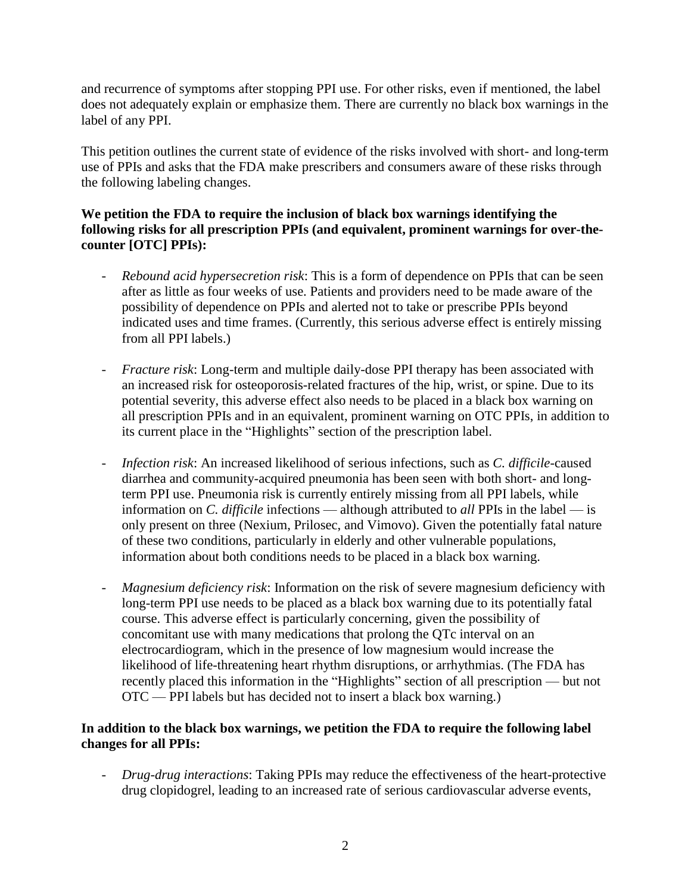and recurrence of symptoms after stopping PPI use. For other risks, even if mentioned, the label does not adequately explain or emphasize them. There are currently no black box warnings in the label of any PPI.

This petition outlines the current state of evidence of the risks involved with short- and long-term use of PPIs and asks that the FDA make prescribers and consumers aware of these risks through the following labeling changes.

### **We petition the FDA to require the inclusion of black box warnings identifying the following risks for all prescription PPIs (and equivalent, prominent warnings for over-thecounter [OTC] PPIs):**

- *Rebound acid hypersecretion risk*: This is a form of dependence on PPIs that can be seen after as little as four weeks of use. Patients and providers need to be made aware of the possibility of dependence on PPIs and alerted not to take or prescribe PPIs beyond indicated uses and time frames. (Currently, this serious adverse effect is entirely missing from all PPI labels.)
- *Fracture risk*: Long-term and multiple daily-dose PPI therapy has been associated with an increased risk for osteoporosis-related fractures of the hip, wrist, or spine. Due to its potential severity, this adverse effect also needs to be placed in a black box warning on all prescription PPIs and in an equivalent, prominent warning on OTC PPIs, in addition to its current place in the "Highlights" section of the prescription label.
- *Infection risk*: An increased likelihood of serious infections, such as *C. difficile*-caused diarrhea and community-acquired pneumonia has been seen with both short- and longterm PPI use. Pneumonia risk is currently entirely missing from all PPI labels, while information on *C. difficile* infections — although attributed to *all* PPIs in the label — is only present on three (Nexium, Prilosec, and Vimovo). Given the potentially fatal nature of these two conditions, particularly in elderly and other vulnerable populations, information about both conditions needs to be placed in a black box warning.
- *Magnesium deficiency risk*: Information on the risk of severe magnesium deficiency with long-term PPI use needs to be placed as a black box warning due to its potentially fatal course. This adverse effect is particularly concerning, given the possibility of concomitant use with many medications that prolong the QTc interval on an electrocardiogram, which in the presence of low magnesium would increase the likelihood of life-threatening heart rhythm disruptions, or arrhythmias. (The FDA has recently placed this information in the "Highlights" section of all prescription — but not OTC — PPI labels but has decided not to insert a black box warning.)

## **In addition to the black box warnings, we petition the FDA to require the following label changes for all PPIs:**

- *Drug-drug interactions*: Taking PPIs may reduce the effectiveness of the heart-protective drug clopidogrel, leading to an increased rate of serious cardiovascular adverse events,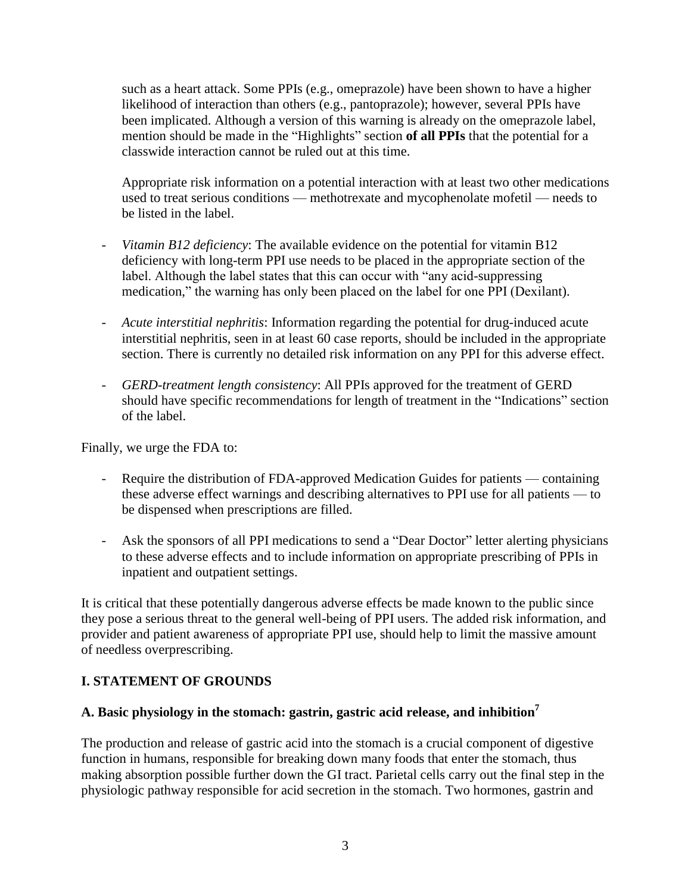such as a heart attack. Some PPIs (e.g., omeprazole) have been shown to have a higher likelihood of interaction than others (e.g., pantoprazole); however, several PPIs have been implicated. Although a version of this warning is already on the omeprazole label, mention should be made in the "Highlights" section of all PPIs that the potential for a classwide interaction cannot be ruled out at this time.

Appropriate risk information on a potential interaction with at least two other medications used to treat serious conditions — methotrexate and mycophenolate mofetil — needs to be listed in the label.

- *Vitamin B12 deficiency*: The available evidence on the potential for vitamin B12 deficiency with long-term PPI use needs to be placed in the appropriate section of the label. Although the label states that this can occur with "any acid-suppressing medication," the warning has only been placed on the label for one PPI (Dexilant).
- *Acute interstitial nephritis*: Information regarding the potential for drug-induced acute interstitial nephritis, seen in at least 60 case reports, should be included in the appropriate section. There is currently no detailed risk information on any PPI for this adverse effect.
- *GERD-treatment length consistency*: All PPIs approved for the treatment of GERD should have specific recommendations for length of treatment in the "Indications" section of the label.

Finally, we urge the FDA to:

- Require the distribution of FDA-approved Medication Guides for patients containing these adverse effect warnings and describing alternatives to PPI use for all patients — to be dispensed when prescriptions are filled.
- Ask the sponsors of all PPI medications to send a "Dear Doctor" letter alerting physicians to these adverse effects and to include information on appropriate prescribing of PPIs in inpatient and outpatient settings.

It is critical that these potentially dangerous adverse effects be made known to the public since they pose a serious threat to the general well-being of PPI users. The added risk information, and provider and patient awareness of appropriate PPI use, should help to limit the massive amount of needless overprescribing.

### **I. STATEMENT OF GROUNDS**

# **A. Basic physiology in the stomach: gastrin, gastric acid release, and inhibition<sup>7</sup>**

The production and release of gastric acid into the stomach is a crucial component of digestive function in humans, responsible for breaking down many foods that enter the stomach, thus making absorption possible further down the GI tract. Parietal cells carry out the final step in the physiologic pathway responsible for acid secretion in the stomach. Two hormones, gastrin and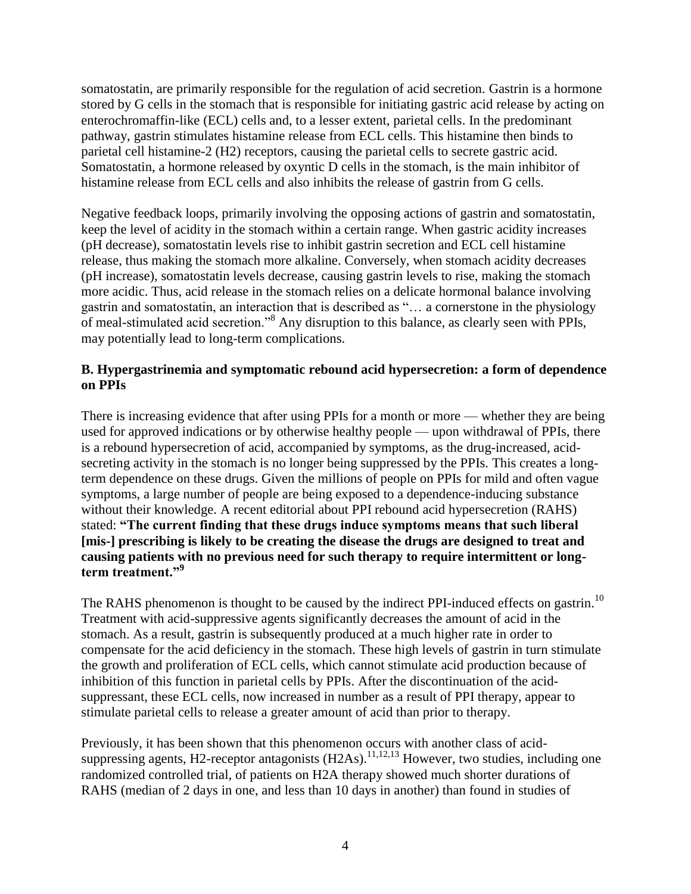somatostatin, are primarily responsible for the regulation of acid secretion. Gastrin is a hormone stored by G cells in the stomach that is responsible for initiating gastric acid release by acting on enterochromaffin-like (ECL) cells and, to a lesser extent, parietal cells. In the predominant pathway, gastrin stimulates histamine release from ECL cells. This histamine then binds to parietal cell histamine-2 (H2) receptors, causing the parietal cells to secrete gastric acid. Somatostatin, a hormone released by oxyntic D cells in the stomach, is the main inhibitor of histamine release from ECL cells and also inhibits the release of gastrin from G cells.

Negative feedback loops, primarily involving the opposing actions of gastrin and somatostatin, keep the level of acidity in the stomach within a certain range. When gastric acidity increases (pH decrease), somatostatin levels rise to inhibit gastrin secretion and ECL cell histamine release, thus making the stomach more alkaline. Conversely, when stomach acidity decreases (pH increase), somatostatin levels decrease, causing gastrin levels to rise, making the stomach more acidic. Thus, acid release in the stomach relies on a delicate hormonal balance involving gastrin and somatostatin, an interaction that is described as "... a cornerstone in the physiology of meal-stimulated acid secretion.<sup>8</sup> Any disruption to this balance, as clearly seen with PPIs, may potentially lead to long-term complications.

### **B. Hypergastrinemia and symptomatic rebound acid hypersecretion: a form of dependence on PPIs**

There is increasing evidence that after using PPIs for a month or more — whether they are being used for approved indications or by otherwise healthy people — upon withdrawal of PPIs, there is a rebound hypersecretion of acid, accompanied by symptoms, as the drug-increased, acidsecreting activity in the stomach is no longer being suppressed by the PPIs. This creates a longterm dependence on these drugs. Given the millions of people on PPIs for mild and often vague symptoms, a large number of people are being exposed to a dependence-inducing substance without their knowledge. A recent editorial about PPI rebound acid hypersecretion (RAHS) stated: **"The current finding that these drugs induce symptoms means that such liberal [mis-] prescribing is likely to be creating the disease the drugs are designed to treat and causing patients with no previous need for such therapy to require intermittent or longterm treatment."<sup>9</sup>**

The RAHS phenomenon is thought to be caused by the indirect PPI-induced effects on gastrin.<sup>10</sup> Treatment with acid-suppressive agents significantly decreases the amount of acid in the stomach. As a result, gastrin is subsequently produced at a much higher rate in order to compensate for the acid deficiency in the stomach. These high levels of gastrin in turn stimulate the growth and proliferation of ECL cells, which cannot stimulate acid production because of inhibition of this function in parietal cells by PPIs. After the discontinuation of the acidsuppressant, these ECL cells, now increased in number as a result of PPI therapy, appear to stimulate parietal cells to release a greater amount of acid than prior to therapy.

Previously, it has been shown that this phenomenon occurs with another class of acidsuppressing agents, H2-receptor antagonists (H2As).<sup>11,12,13</sup> However, two studies, including one randomized controlled trial, of patients on H2A therapy showed much shorter durations of RAHS (median of 2 days in one, and less than 10 days in another) than found in studies of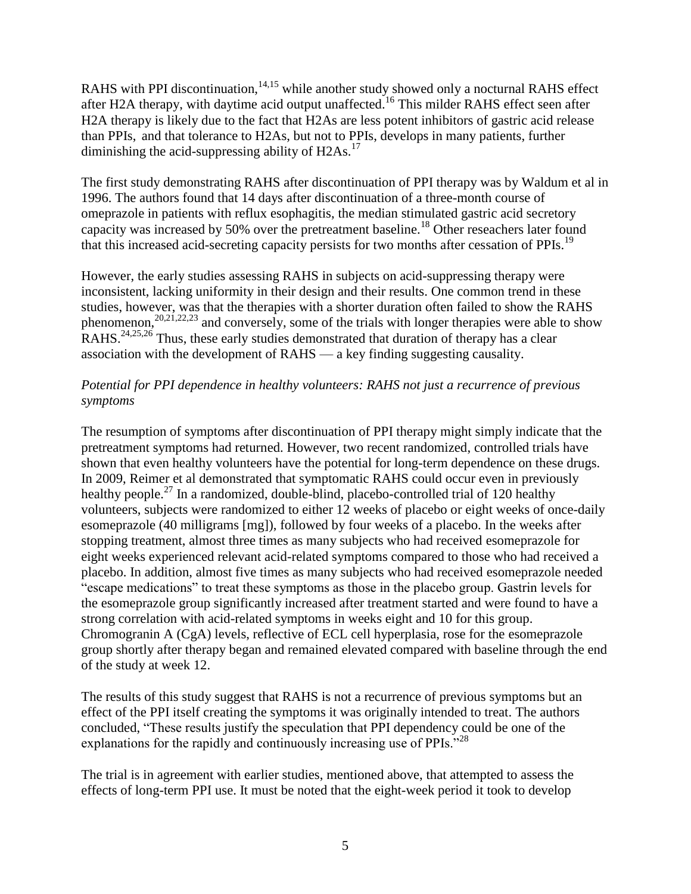RAHS with PPI discontinuation,  $14,15$  while another study showed only a nocturnal RAHS effect after H2A therapy, with daytime acid output unaffected.<sup>16</sup> This milder RAHS effect seen after H2A therapy is likely due to the fact that H2As are less potent inhibitors of gastric acid release than PPIs, and that tolerance to H2As, but not to PPIs, develops in many patients, further diminishing the acid-suppressing ability of  $H2As.<sup>17</sup>$ 

The first study demonstrating RAHS after discontinuation of PPI therapy was by Waldum et al in 1996. The authors found that 14 days after discontinuation of a three-month course of omeprazole in patients with reflux esophagitis, the median stimulated gastric acid secretory capacity was increased by 50% over the pretreatment baseline.<sup>18</sup> Other reseachers later found that this increased acid-secreting capacity persists for two months after cessation of PPIs.<sup>19</sup>

However, the early studies assessing RAHS in subjects on acid-suppressing therapy were inconsistent, lacking uniformity in their design and their results. One common trend in these studies, however, was that the therapies with a shorter duration often failed to show the RAHS phenomenon,  $^{20,21,22,23}$  and conversely, some of the trials with longer therapies were able to show RAHS.<sup>24,25,26</sup> Thus, these early studies demonstrated that duration of therapy has a clear association with the development of RAHS — a key finding suggesting causality.

### *Potential for PPI dependence in healthy volunteers: RAHS not just a recurrence of previous symptoms*

The resumption of symptoms after discontinuation of PPI therapy might simply indicate that the pretreatment symptoms had returned. However, two recent randomized, controlled trials have shown that even healthy volunteers have the potential for long-term dependence on these drugs. In 2009, Reimer et al demonstrated that symptomatic RAHS could occur even in previously healthy people.<sup>27</sup> In a randomized, double-blind, placebo-controlled trial of 120 healthy volunteers, subjects were randomized to either 12 weeks of placebo or eight weeks of once-daily esomeprazole (40 milligrams [mg]), followed by four weeks of a placebo. In the weeks after stopping treatment, almost three times as many subjects who had received esomeprazole for eight weeks experienced relevant acid-related symptoms compared to those who had received a placebo. In addition, almost five times as many subjects who had received esomeprazole needed "escape medications" to treat these symptoms as those in the placebo group. Gastrin levels for the esomeprazole group significantly increased after treatment started and were found to have a strong correlation with acid-related symptoms in weeks eight and 10 for this group. Chromogranin A (CgA) levels, reflective of ECL cell hyperplasia, rose for the esomeprazole group shortly after therapy began and remained elevated compared with baseline through the end of the study at week 12.

The results of this study suggest that RAHS is not a recurrence of previous symptoms but an effect of the PPI itself creating the symptoms it was originally intended to treat. The authors concluded, "These results justify the speculation that PPI dependency could be one of the explanations for the rapidly and continuously increasing use of PPIs. $^{228}$ 

The trial is in agreement with earlier studies, mentioned above, that attempted to assess the effects of long-term PPI use. It must be noted that the eight-week period it took to develop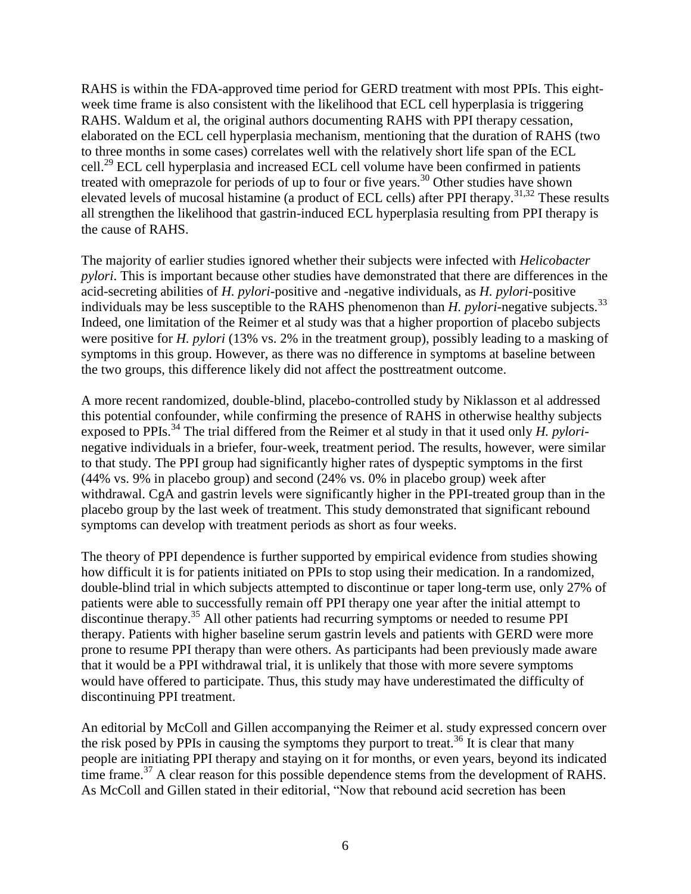RAHS is within the FDA-approved time period for GERD treatment with most PPIs. This eightweek time frame is also consistent with the likelihood that ECL cell hyperplasia is triggering RAHS. Waldum et al, the original authors documenting RAHS with PPI therapy cessation, elaborated on the ECL cell hyperplasia mechanism, mentioning that the duration of RAHS (two to three months in some cases) correlates well with the relatively short life span of the ECL cell.<sup>29</sup> ECL cell hyperplasia and increased ECL cell volume have been confirmed in patients treated with omeprazole for periods of up to four or five years.<sup>30</sup> Other studies have shown elevated levels of mucosal histamine (a product of ECL cells) after PPI therapy.<sup>31,32</sup> These results all strengthen the likelihood that gastrin-induced ECL hyperplasia resulting from PPI therapy is the cause of RAHS.

The majority of earlier studies ignored whether their subjects were infected with *Helicobacter pylori*. This is important because other studies have demonstrated that there are differences in the acid-secreting abilities of *H. pylori*-positive and -negative individuals, as *H. pylori*-positive individuals may be less susceptible to the RAHS phenomenon than *H. pylori*-negative subjects.<sup>33</sup> Indeed, one limitation of the Reimer et al study was that a higher proportion of placebo subjects were positive for *H. pylori* (13% vs. 2% in the treatment group), possibly leading to a masking of symptoms in this group. However, as there was no difference in symptoms at baseline between the two groups, this difference likely did not affect the posttreatment outcome.

A more recent randomized, double-blind, placebo-controlled study by Niklasson et al addressed this potential confounder, while confirming the presence of RAHS in otherwise healthy subjects exposed to PPIs.<sup>34</sup> The trial differed from the Reimer et al study in that it used only *H. pylori*negative individuals in a briefer, four-week, treatment period. The results, however, were similar to that study. The PPI group had significantly higher rates of dyspeptic symptoms in the first (44% vs. 9% in placebo group) and second (24% vs. 0% in placebo group) week after withdrawal. CgA and gastrin levels were significantly higher in the PPI-treated group than in the placebo group by the last week of treatment. This study demonstrated that significant rebound symptoms can develop with treatment periods as short as four weeks.

The theory of PPI dependence is further supported by empirical evidence from studies showing how difficult it is for patients initiated on PPIs to stop using their medication. In a randomized, double-blind trial in which subjects attempted to discontinue or taper long-term use, only 27% of patients were able to successfully remain off PPI therapy one year after the initial attempt to discontinue therapy.<sup>35</sup> All other patients had recurring symptoms or needed to resume PPI therapy. Patients with higher baseline serum gastrin levels and patients with GERD were more prone to resume PPI therapy than were others. As participants had been previously made aware that it would be a PPI withdrawal trial, it is unlikely that those with more severe symptoms would have offered to participate. Thus, this study may have underestimated the difficulty of discontinuing PPI treatment.

An editorial by McColl and Gillen accompanying the Reimer et al. study expressed concern over the risk posed by PPIs in causing the symptoms they purport to treat.<sup>36</sup> It is clear that many people are initiating PPI therapy and staying on it for months, or even years, beyond its indicated time frame.<sup>37</sup> A clear reason for this possible dependence stems from the development of RAHS. As McColl and Gillen stated in their editorial, "Now that rebound acid secretion has been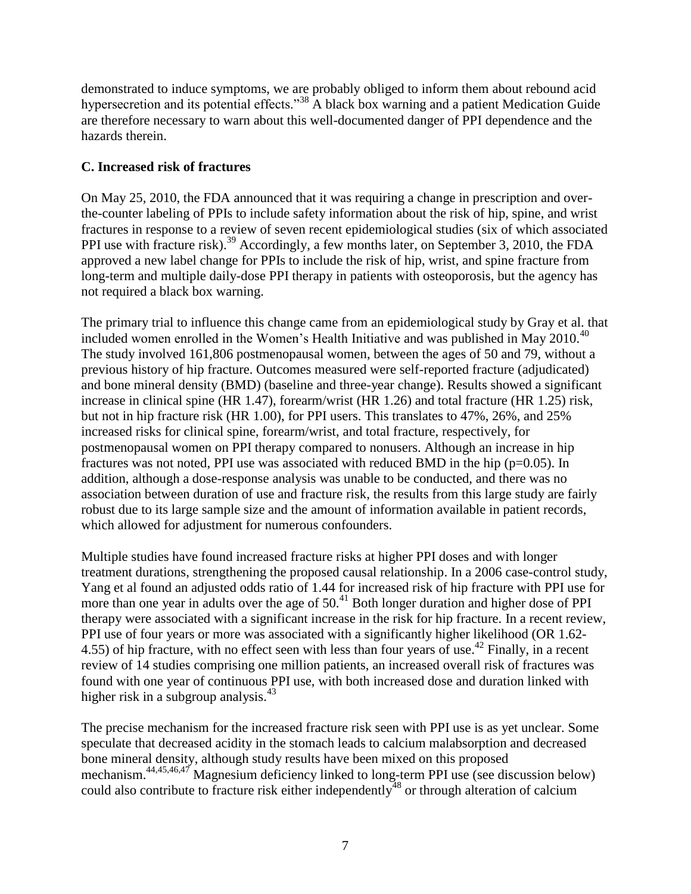demonstrated to induce symptoms, we are probably obliged to inform them about rebound acid hypersecretion and its potential effects.<sup>38</sup> A black box warning and a patient Medication Guide are therefore necessary to warn about this well-documented danger of PPI dependence and the hazards therein.

### **C. Increased risk of fractures**

On May 25, 2010, the FDA announced that it was requiring a change in prescription and overthe-counter labeling of PPIs to include safety information about the risk of hip, spine, and wrist fractures in response to a review of seven recent epidemiological studies (six of which associated PPI use with fracture risk).<sup>39</sup> Accordingly, a few months later, on September 3, 2010, the FDA approved a new label change for PPIs to include the risk of hip, wrist, and spine fracture from long-term and multiple daily-dose PPI therapy in patients with osteoporosis, but the agency has not required a black box warning.

The primary trial to influence this change came from an epidemiological study by Gray et al. that included women enrolled in the Women's Health Initiative and was published in May  $2010^{40}$ The study involved 161,806 postmenopausal women, between the ages of 50 and 79, without a previous history of hip fracture. Outcomes measured were self-reported fracture (adjudicated) and bone mineral density (BMD) (baseline and three-year change). Results showed a significant increase in clinical spine (HR 1.47), forearm/wrist (HR 1.26) and total fracture (HR 1.25) risk, but not in hip fracture risk (HR 1.00), for PPI users. This translates to 47%, 26%, and 25% increased risks for clinical spine, forearm/wrist, and total fracture, respectively, for postmenopausal women on PPI therapy compared to nonusers. Although an increase in hip fractures was not noted, PPI use was associated with reduced BMD in the hip  $(p=0.05)$ . In addition, although a dose-response analysis was unable to be conducted, and there was no association between duration of use and fracture risk, the results from this large study are fairly robust due to its large sample size and the amount of information available in patient records, which allowed for adjustment for numerous confounders.

Multiple studies have found increased fracture risks at higher PPI doses and with longer treatment durations, strengthening the proposed causal relationship. In a 2006 case-control study, Yang et al found an adjusted odds ratio of 1.44 for increased risk of hip fracture with PPI use for more than one year in adults over the age of  $50<sup>41</sup>$  Both longer duration and higher dose of PPI therapy were associated with a significant increase in the risk for hip fracture. In a recent review, PPI use of four years or more was associated with a significantly higher likelihood (OR 1.62- 4.55) of hip fracture, with no effect seen with less than four years of use.<sup>42</sup> Finally, in a recent review of 14 studies comprising one million patients, an increased overall risk of fractures was found with one year of continuous PPI use, with both increased dose and duration linked with higher risk in a subgroup analysis.<sup>43</sup>

The precise mechanism for the increased fracture risk seen with PPI use is as yet unclear. Some speculate that decreased acidity in the stomach leads to calcium malabsorption and decreased bone mineral density, although study results have been mixed on this proposed mechanism.<sup>44,45,46,47</sup> Magnesium deficiency linked to long-term PPI use (see discussion below) could also contribute to fracture risk either independently<sup>48</sup> or through alteration of calcium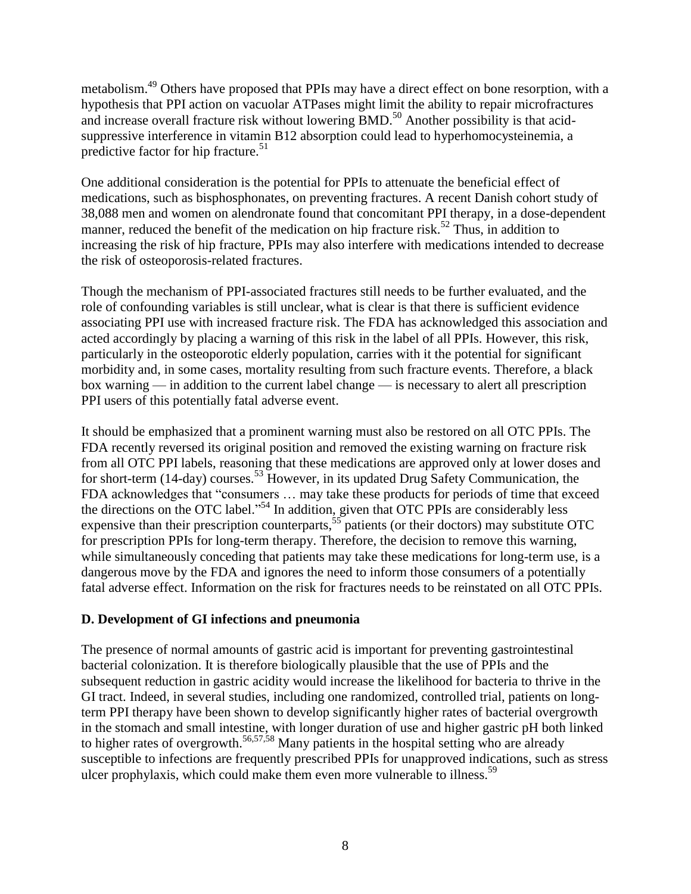metabolism.<sup>49</sup> Others have proposed that PPIs may have a direct effect on bone resorption, with a hypothesis that PPI action on vacuolar ATPases might limit the ability to repair microfractures and increase overall fracture risk without lowering  $\rm{BMD}$ .<sup>50</sup> Another possibility is that acidsuppressive interference in vitamin B12 absorption could lead to hyperhomocysteinemia, a predictive factor for hip fracture.<sup>51</sup>

One additional consideration is the potential for PPIs to attenuate the beneficial effect of medications, such as bisphosphonates, on preventing fractures. A recent Danish cohort study of 38,088 men and women on alendronate found that concomitant PPI therapy, in a dose-dependent manner, reduced the benefit of the medication on hip fracture risk.<sup>52</sup> Thus, in addition to increasing the risk of hip fracture, PPIs may also interfere with medications intended to decrease the risk of osteoporosis-related fractures.

Though the mechanism of PPI-associated fractures still needs to be further evaluated, and the role of confounding variables is still unclear, what is clear is that there is sufficient evidence associating PPI use with increased fracture risk. The FDA has acknowledged this association and acted accordingly by placing a warning of this risk in the label of all PPIs. However, this risk, particularly in the osteoporotic elderly population, carries with it the potential for significant morbidity and, in some cases, mortality resulting from such fracture events. Therefore, a black box warning — in addition to the current label change — is necessary to alert all prescription PPI users of this potentially fatal adverse event.

It should be emphasized that a prominent warning must also be restored on all OTC PPIs. The FDA recently reversed its original position and removed the existing warning on fracture risk from all OTC PPI labels, reasoning that these medications are approved only at lower doses and for short-term (14-day) courses.<sup>53</sup> However, in its updated Drug Safety Communication, the FDA acknowledges that "consumers ... may take these products for periods of time that exceed the directions on the OTC label."<sup>54</sup> In addition, given that OTC PPIs are considerably less expensive than their prescription counterparts,<sup>55</sup> patients (or their doctors) may substitute OTC for prescription PPIs for long-term therapy. Therefore, the decision to remove this warning, while simultaneously conceding that patients may take these medications for long-term use, is a dangerous move by the FDA and ignores the need to inform those consumers of a potentially fatal adverse effect. Information on the risk for fractures needs to be reinstated on all OTC PPIs.

### **D. Development of GI infections and pneumonia**

The presence of normal amounts of gastric acid is important for preventing gastrointestinal bacterial colonization. It is therefore biologically plausible that the use of PPIs and the subsequent reduction in gastric acidity would increase the likelihood for bacteria to thrive in the GI tract. Indeed, in several studies, including one randomized, controlled trial, patients on longterm PPI therapy have been shown to develop significantly higher rates of bacterial overgrowth in the stomach and small intestine, with longer duration of use and higher gastric pH both linked to higher rates of overgrowth.<sup>56,57,58</sup> Many patients in the hospital setting who are already susceptible to infections are frequently prescribed PPIs for unapproved indications, such as stress ulcer prophylaxis, which could make them even more vulnerable to illness.<sup>59</sup>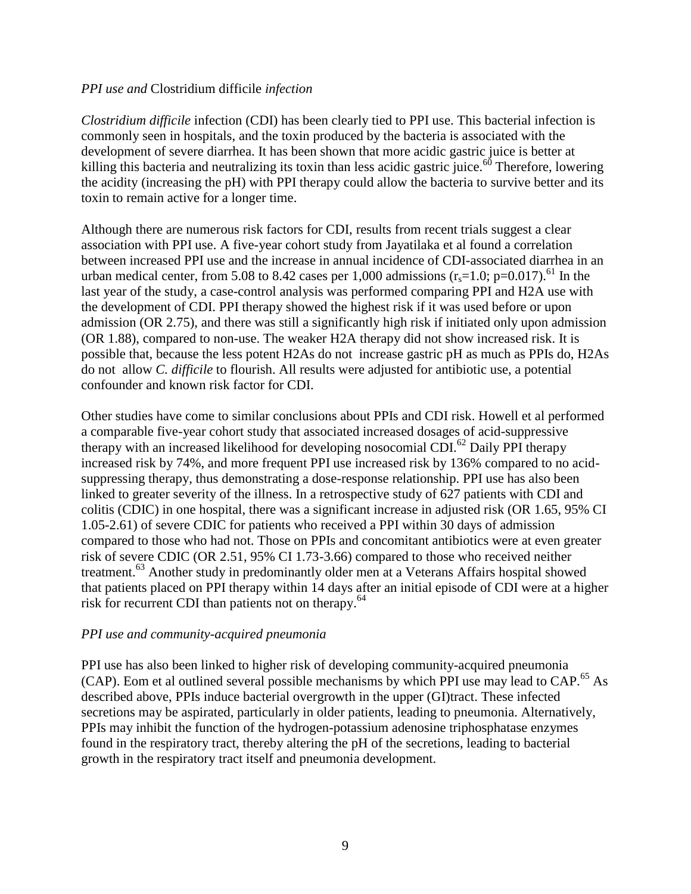#### *PPI use and* Clostridium difficile *infection*

*Clostridium difficile* infection (CDI) has been clearly tied to PPI use. This bacterial infection is commonly seen in hospitals, and the toxin produced by the bacteria is associated with the development of severe diarrhea. It has been shown that more acidic gastric juice is better at killing this bacteria and neutralizing its toxin than less acidic gastric juice.<sup>60</sup> Therefore, lowering the acidity (increasing the pH) with PPI therapy could allow the bacteria to survive better and its toxin to remain active for a longer time.

Although there are numerous risk factors for CDI, results from recent trials suggest a clear association with PPI use. A five-year cohort study from Jayatilaka et al found a correlation between increased PPI use and the increase in annual incidence of CDI-associated diarrhea in an urban medical center, from 5.08 to 8.42 cases per 1,000 admissions  $(r<sub>s</sub>=1.0; p=0.017)$ .<sup>61</sup> In the last year of the study, a case-control analysis was performed comparing PPI and H2A use with the development of CDI. PPI therapy showed the highest risk if it was used before or upon admission (OR 2.75), and there was still a significantly high risk if initiated only upon admission (OR 1.88), compared to non-use. The weaker H2A therapy did not show increased risk. It is possible that, because the less potent H2As do not increase gastric pH as much as PPIs do, H2As do not allow *C. difficile* to flourish. All results were adjusted for antibiotic use, a potential confounder and known risk factor for CDI.

Other studies have come to similar conclusions about PPIs and CDI risk. Howell et al performed a comparable five-year cohort study that associated increased dosages of acid-suppressive therapy with an increased likelihood for developing nosocomial CDI.<sup>62</sup> Daily PPI therapy increased risk by 74%, and more frequent PPI use increased risk by 136% compared to no acidsuppressing therapy, thus demonstrating a dose-response relationship. PPI use has also been linked to greater severity of the illness. In a retrospective study of 627 patients with CDI and colitis (CDIC) in one hospital, there was a significant increase in adjusted risk (OR 1.65, 95% CI 1.05-2.61) of severe CDIC for patients who received a PPI within 30 days of admission compared to those who had not. Those on PPIs and concomitant antibiotics were at even greater risk of severe CDIC (OR 2.51, 95% CI 1.73-3.66) compared to those who received neither treatment.<sup>63</sup> Another study in predominantly older men at a Veterans Affairs hospital showed that patients placed on PPI therapy within 14 days after an initial episode of CDI were at a higher risk for recurrent CDI than patients not on therapy.<sup>64</sup>

#### *PPI use and community-acquired pneumonia*

PPI use has also been linked to higher risk of developing community-acquired pneumonia (CAP). Eom et al outlined several possible mechanisms by which PPI use may lead to CAP.<sup>65</sup> As described above, PPIs induce bacterial overgrowth in the upper (GI)tract. These infected secretions may be aspirated, particularly in older patients, leading to pneumonia. Alternatively, PPIs may inhibit the function of the hydrogen-potassium adenosine triphosphatase enzymes found in the respiratory tract, thereby altering the pH of the secretions, leading to bacterial growth in the respiratory tract itself and pneumonia development.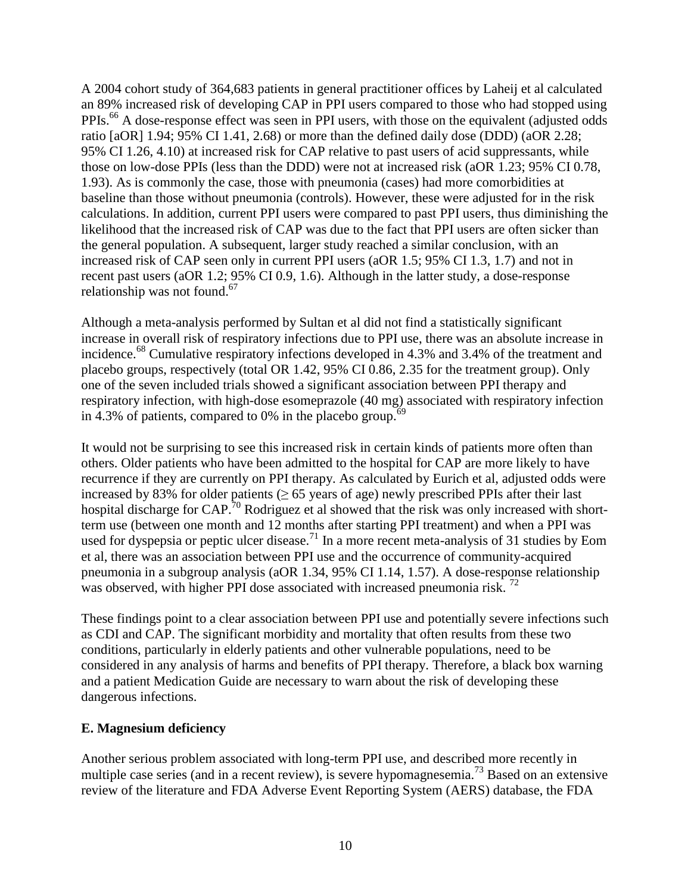A 2004 cohort study of 364,683 patients in general practitioner offices by Laheij et al calculated an 89% increased risk of developing CAP in PPI users compared to those who had stopped using PPIs.<sup>66</sup> A dose-response effect was seen in PPI users, with those on the equivalent (adjusted odds ratio [aOR] 1.94; 95% CI 1.41, 2.68) or more than the defined daily dose (DDD) (aOR 2.28; 95% CI 1.26, 4.10) at increased risk for CAP relative to past users of acid suppressants, while those on low-dose PPIs (less than the DDD) were not at increased risk (aOR 1.23; 95% CI 0.78, 1.93). As is commonly the case, those with pneumonia (cases) had more comorbidities at baseline than those without pneumonia (controls). However, these were adjusted for in the risk calculations. In addition, current PPI users were compared to past PPI users, thus diminishing the likelihood that the increased risk of CAP was due to the fact that PPI users are often sicker than the general population. A subsequent, larger study reached a similar conclusion, with an increased risk of CAP seen only in current PPI users (aOR 1.5; 95% CI 1.3, 1.7) and not in recent past users (aOR 1.2; 95% CI 0.9, 1.6). Although in the latter study, a dose-response relationship was not found.<sup>67</sup>

Although a meta-analysis performed by Sultan et al did not find a statistically significant increase in overall risk of respiratory infections due to PPI use, there was an absolute increase in incidence.<sup>68</sup> Cumulative respiratory infections developed in 4.3% and 3.4% of the treatment and placebo groups, respectively (total OR 1.42, 95% CI 0.86, 2.35 for the treatment group). Only one of the seven included trials showed a significant association between PPI therapy and respiratory infection, with high-dose esomeprazole (40 mg) associated with respiratory infection in 4.3% of patients, compared to 0% in the placebo group.<sup>69</sup>

It would not be surprising to see this increased risk in certain kinds of patients more often than others. Older patients who have been admitted to the hospital for CAP are more likely to have recurrence if they are currently on PPI therapy. As calculated by Eurich et al, adjusted odds were increased by 83% for older patients ( $\geq$  65 years of age) newly prescribed PPIs after their last hospital discharge for CAP.<sup>70</sup> Rodriguez et al showed that the risk was only increased with shortterm use (between one month and 12 months after starting PPI treatment) and when a PPI was used for dyspepsia or peptic ulcer disease.<sup>71</sup> In a more recent meta-analysis of 31 studies by Eom et al, there was an association between PPI use and the occurrence of community-acquired pneumonia in a subgroup analysis (aOR 1.34, 95% CI 1.14, 1.57). A dose-response relationship was observed, with higher PPI dose associated with increased pneumonia risk.<sup>72</sup>

These findings point to a clear association between PPI use and potentially severe infections such as CDI and CAP. The significant morbidity and mortality that often results from these two conditions, particularly in elderly patients and other vulnerable populations, need to be considered in any analysis of harms and benefits of PPI therapy. Therefore, a black box warning and a patient Medication Guide are necessary to warn about the risk of developing these dangerous infections.

### **E. Magnesium deficiency**

Another serious problem associated with long-term PPI use, and described more recently in multiple case series (and in a recent review), is severe hypomagnesemia.<sup>73</sup> Based on an extensive review of the literature and FDA Adverse Event Reporting System (AERS) database, the FDA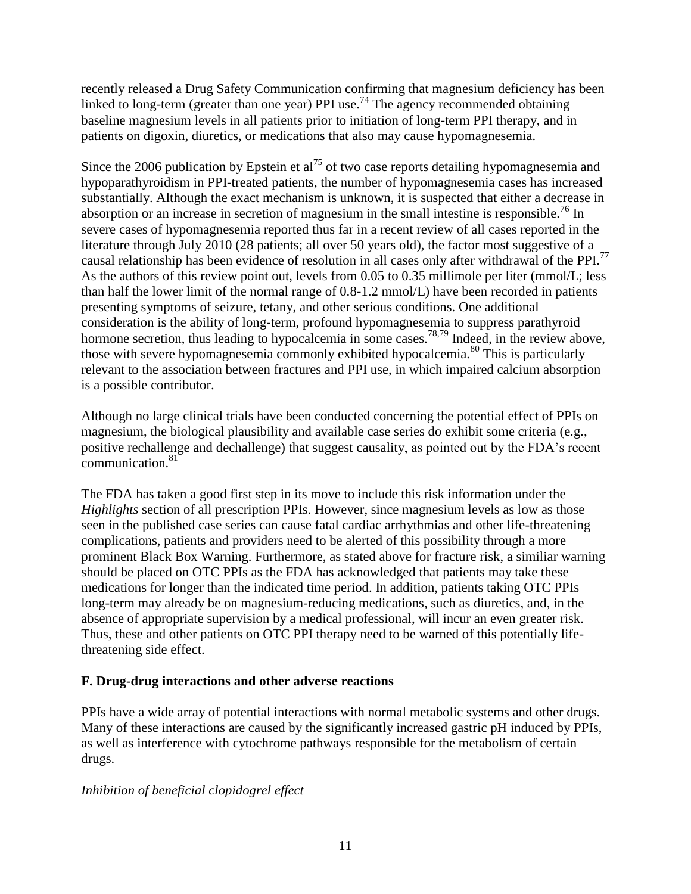recently released a Drug Safety Communication confirming that magnesium deficiency has been linked to long-term (greater than one year) PPI use.<sup>74</sup> The agency recommended obtaining baseline magnesium levels in all patients prior to initiation of long-term PPI therapy, and in patients on digoxin, diuretics, or medications that also may cause hypomagnesemia.

Since the 2006 publication by Epstein et al<sup>75</sup> of two case reports detailing hypomagnesemia and hypoparathyroidism in PPI-treated patients, the number of hypomagnesemia cases has increased substantially. Although the exact mechanism is unknown, it is suspected that either a decrease in absorption or an increase in secretion of magnesium in the small intestine is responsible.<sup>76</sup> In severe cases of hypomagnesemia reported thus far in a recent review of all cases reported in the literature through July 2010 (28 patients; all over 50 years old), the factor most suggestive of a causal relationship has been evidence of resolution in all cases only after withdrawal of the PPI.<sup>77</sup> As the authors of this review point out, levels from 0.05 to 0.35 millimole per liter (mmol/L; less than half the lower limit of the normal range of 0.8-1.2 mmol/L) have been recorded in patients presenting symptoms of seizure, tetany, and other serious conditions. One additional consideration is the ability of long-term, profound hypomagnesemia to suppress parathyroid hormone secretion, thus leading to hypocalcemia in some cases.<sup>78,79</sup> Indeed, in the review above, those with severe hypomagnesemia commonly exhibited hypocalcemia.<sup>80</sup> This is particularly relevant to the association between fractures and PPI use, in which impaired calcium absorption is a possible contributor.

Although no large clinical trials have been conducted concerning the potential effect of PPIs on magnesium, the biological plausibility and available case series do exhibit some criteria (e.g., positive rechallenge and dechallenge) that suggest causality, as pointed out by the FDA's recent communication.<sup>81</sup>

The FDA has taken a good first step in its move to include this risk information under the *Highlights* section of all prescription PPIs. However, since magnesium levels as low as those seen in the published case series can cause fatal cardiac arrhythmias and other life-threatening complications, patients and providers need to be alerted of this possibility through a more prominent Black Box Warning. Furthermore, as stated above for fracture risk, a similiar warning should be placed on OTC PPIs as the FDA has acknowledged that patients may take these medications for longer than the indicated time period. In addition, patients taking OTC PPIs long-term may already be on magnesium-reducing medications, such as diuretics, and, in the absence of appropriate supervision by a medical professional, will incur an even greater risk. Thus, these and other patients on OTC PPI therapy need to be warned of this potentially lifethreatening side effect.

### **F. Drug-drug interactions and other adverse reactions**

PPIs have a wide array of potential interactions with normal metabolic systems and other drugs. Many of these interactions are caused by the significantly increased gastric pH induced by PPIs, as well as interference with cytochrome pathways responsible for the metabolism of certain drugs.

# *Inhibition of beneficial clopidogrel effect*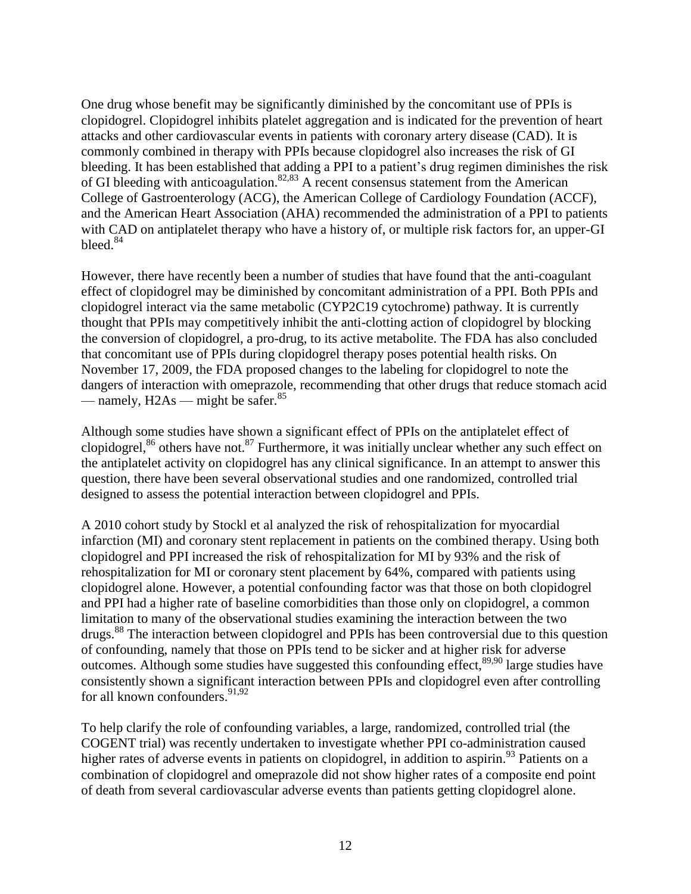One drug whose benefit may be significantly diminished by the concomitant use of PPIs is clopidogrel. Clopidogrel inhibits platelet aggregation and is indicated for the prevention of heart attacks and other cardiovascular events in patients with coronary artery disease (CAD). It is commonly combined in therapy with PPIs because clopidogrel also increases the risk of GI bleeding. It has been established that adding a PPI to a patient's drug regimen diminishes the risk of GI bleeding with anticoagulation.<sup>82,83</sup> A recent consensus statement from the American College of Gastroenterology (ACG), the American College of Cardiology Foundation (ACCF), and the American Heart Association (AHA) recommended the administration of a PPI to patients with CAD on antiplatelet therapy who have a history of, or multiple risk factors for, an upper-GI bleed.<sup>84</sup>

However, there have recently been a number of studies that have found that the anti-coagulant effect of clopidogrel may be diminished by concomitant administration of a PPI. Both PPIs and clopidogrel interact via the same metabolic (CYP2C19 cytochrome) pathway. It is currently thought that PPIs may competitively inhibit the anti-clotting action of clopidogrel by blocking the conversion of clopidogrel, a pro-drug, to its active metabolite. The FDA has also concluded that concomitant use of PPIs during clopidogrel therapy poses potential health risks. On November 17, 2009, the FDA proposed changes to the labeling for clopidogrel to note the dangers of interaction with omeprazole, recommending that other drugs that reduce stomach acid — namely,  $H2As$  — might be safer.<sup>85</sup>

Although some studies have shown a significant effect of PPIs on the antiplatelet effect of clopidogrel,<sup>86</sup> others have not.<sup>87</sup> Furthermore, it was initially unclear whether any such effect on the antiplatelet activity on clopidogrel has any clinical significance. In an attempt to answer this question, there have been several observational studies and one randomized, controlled trial designed to assess the potential interaction between clopidogrel and PPIs.

A 2010 cohort study by Stockl et al analyzed the risk of rehospitalization for myocardial infarction (MI) and coronary stent replacement in patients on the combined therapy. Using both clopidogrel and PPI increased the risk of rehospitalization for MI by 93% and the risk of rehospitalization for MI or coronary stent placement by 64%, compared with patients using clopidogrel alone. However, a potential confounding factor was that those on both clopidogrel and PPI had a higher rate of baseline comorbidities than those only on clopidogrel, a common limitation to many of the observational studies examining the interaction between the two drugs.<sup>88</sup> The interaction between clopidogrel and PPIs has been controversial due to this question of confounding, namely that those on PPIs tend to be sicker and at higher risk for adverse outcomes. Although some studies have suggested this confounding effect,  $89,90$  large studies have consistently shown a significant interaction between PPIs and clopidogrel even after controlling for all known confounders.<sup>91,92</sup>

To help clarify the role of confounding variables, a large, randomized, controlled trial (the COGENT trial) was recently undertaken to investigate whether PPI co-administration caused higher rates of adverse events in patients on clopidogrel, in addition to aspirin.<sup>93</sup> Patients on a combination of clopidogrel and omeprazole did not show higher rates of a composite end point of death from several cardiovascular adverse events than patients getting clopidogrel alone.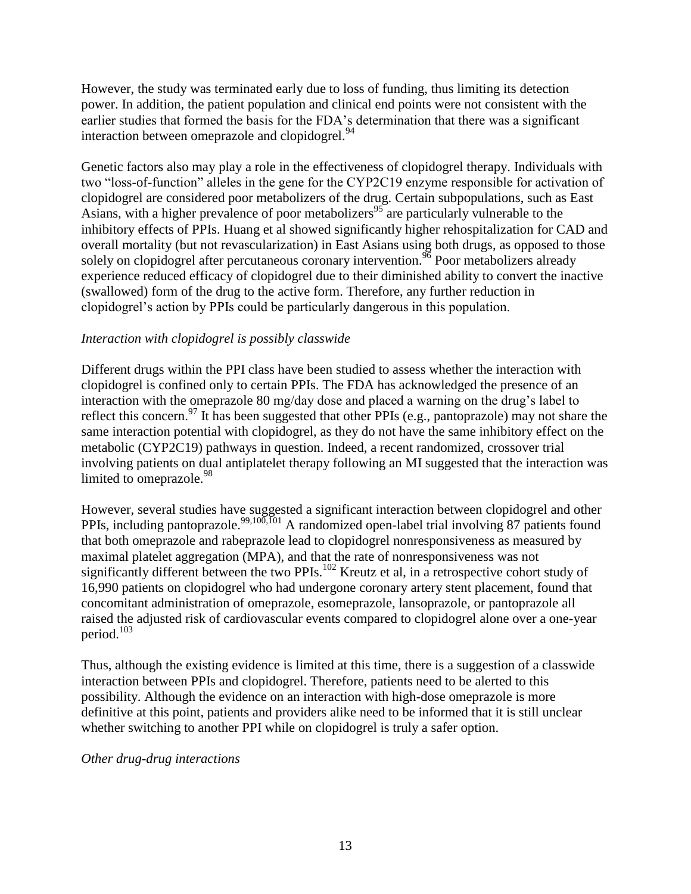However, the study was terminated early due to loss of funding, thus limiting its detection power. In addition, the patient population and clinical end points were not consistent with the earlier studies that formed the basis for the FDA's determination that there was a significant interaction between omeprazole and clopidogrel.<sup>94</sup>

Genetic factors also may play a role in the effectiveness of clopidogrel therapy. Individuals with two "loss-of-function" alleles in the gene for the CYP2C19 enzyme responsible for activation of clopidogrel are considered poor metabolizers of the drug. Certain subpopulations, such as East Asians, with a higher prevalence of poor metabolizers<sup>95</sup> are particularly vulnerable to the inhibitory effects of PPIs. Huang et al showed significantly higher rehospitalization for CAD and overall mortality (but not revascularization) in East Asians using both drugs, as opposed to those solely on clopidogrel after percutaneous coronary intervention.<sup>96</sup> Poor metabolizers already experience reduced efficacy of clopidogrel due to their diminished ability to convert the inactive (swallowed) form of the drug to the active form. Therefore, any further reduction in clopidogrel's action by PPIs could be particularly dangerous in this population.

### *Interaction with clopidogrel is possibly classwide*

Different drugs within the PPI class have been studied to assess whether the interaction with clopidogrel is confined only to certain PPIs. The FDA has acknowledged the presence of an interaction with the omeprazole 80 mg/day dose and placed a warning on the drug's label to reflect this concern.<sup>97</sup> It has been suggested that other PPIs (e.g., pantoprazole) may not share the same interaction potential with clopidogrel, as they do not have the same inhibitory effect on the metabolic (CYP2C19) pathways in question. Indeed, a recent randomized, crossover trial involving patients on dual antiplatelet therapy following an MI suggested that the interaction was limited to omeprazole.<sup>98</sup>

However, several studies have suggested a significant interaction between clopidogrel and other PPIs, including pantoprazole.<sup>99,100,101</sup> A randomized open-label trial involving 87 patients found that both omeprazole and rabeprazole lead to clopidogrel nonresponsiveness as measured by maximal platelet aggregation (MPA), and that the rate of nonresponsiveness was not significantly different between the two PPIs.<sup>102</sup> Kreutz et al, in a retrospective cohort study of 16,990 patients on clopidogrel who had undergone coronary artery stent placement, found that concomitant administration of omeprazole, esomeprazole, lansoprazole, or pantoprazole all raised the adjusted risk of cardiovascular events compared to clopidogrel alone over a one-year period.<sup>103</sup>

Thus, although the existing evidence is limited at this time, there is a suggestion of a classwide interaction between PPIs and clopidogrel. Therefore, patients need to be alerted to this possibility. Although the evidence on an interaction with high-dose omeprazole is more definitive at this point, patients and providers alike need to be informed that it is still unclear whether switching to another PPI while on clopidogrel is truly a safer option.

#### *Other drug-drug interactions*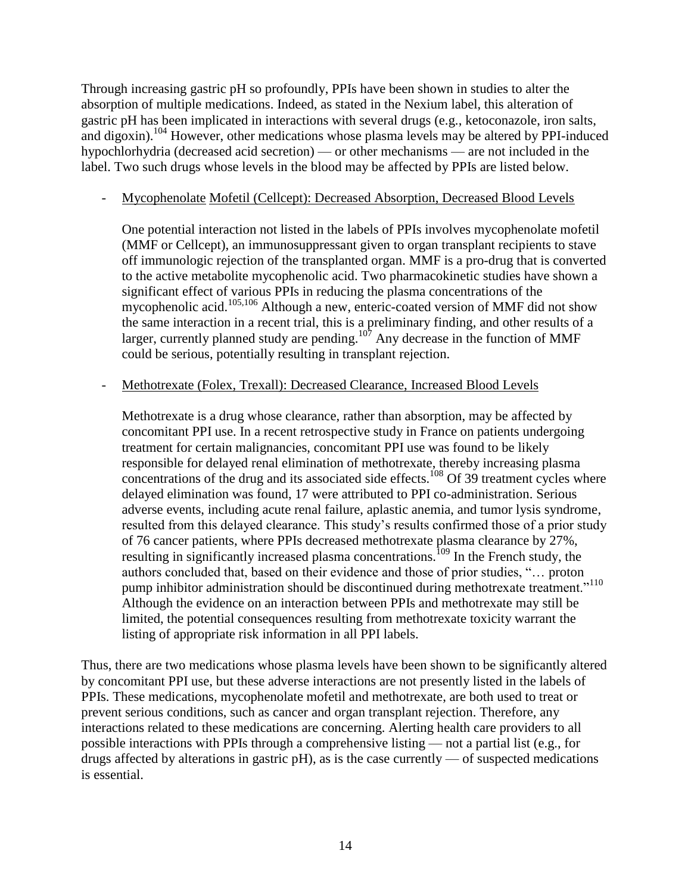Through increasing gastric pH so profoundly, PPIs have been shown in studies to alter the absorption of multiple medications. Indeed, as stated in the Nexium label, this alteration of gastric pH has been implicated in interactions with several drugs (e.g., ketoconazole, iron salts, and digoxin).<sup>104</sup> However, other medications whose plasma levels may be altered by PPI-induced hypochlorhydria (decreased acid secretion) — or other mechanisms — are not included in the label. Two such drugs whose levels in the blood may be affected by PPIs are listed below.

### - Mycophenolate Mofetil (Cellcept): Decreased Absorption, Decreased Blood Levels

One potential interaction not listed in the labels of PPIs involves mycophenolate mofetil (MMF or Cellcept), an immunosuppressant given to organ transplant recipients to stave off immunologic rejection of the transplanted organ. MMF is a pro-drug that is converted to the active metabolite mycophenolic acid. Two pharmacokinetic studies have shown a significant effect of various PPIs in reducing the plasma concentrations of the mycophenolic acid.<sup>105,106</sup> Although a new, enteric-coated version of MMF did not show the same interaction in a recent trial, this is a preliminary finding, and other results of a larger, currently planned study are pending.  $107$  Any decrease in the function of MMF could be serious, potentially resulting in transplant rejection.

### Methotrexate (Folex, Trexall): Decreased Clearance, Increased Blood Levels

Methotrexate is a drug whose clearance, rather than absorption, may be affected by concomitant PPI use. In a recent retrospective study in France on patients undergoing treatment for certain malignancies, concomitant PPI use was found to be likely responsible for delayed renal elimination of methotrexate, thereby increasing plasma concentrations of the drug and its associated side effects.<sup>108</sup> Of 39 treatment cycles where delayed elimination was found, 17 were attributed to PPI co-administration. Serious adverse events, including acute renal failure, aplastic anemia, and tumor lysis syndrome, resulted from this delayed clearance. This study's results confirmed those of a prior study of 76 cancer patients, where PPIs decreased methotrexate plasma clearance by 27%, resulting in significantly increased plasma concentrations.<sup>109</sup> In the French study, the authors concluded that, based on their evidence and those of prior studies, "... proton pump inhibitor administration should be discontinued during methotrexate treatment."<sup>110</sup> Although the evidence on an interaction between PPIs and methotrexate may still be limited, the potential consequences resulting from methotrexate toxicity warrant the listing of appropriate risk information in all PPI labels.

Thus, there are two medications whose plasma levels have been shown to be significantly altered by concomitant PPI use, but these adverse interactions are not presently listed in the labels of PPIs. These medications, mycophenolate mofetil and methotrexate, are both used to treat or prevent serious conditions, such as cancer and organ transplant rejection. Therefore, any interactions related to these medications are concerning. Alerting health care providers to all possible interactions with PPIs through a comprehensive listing — not a partial list (e.g., for drugs affected by alterations in gastric  $pH$ ), as is the case currently — of suspected medications is essential.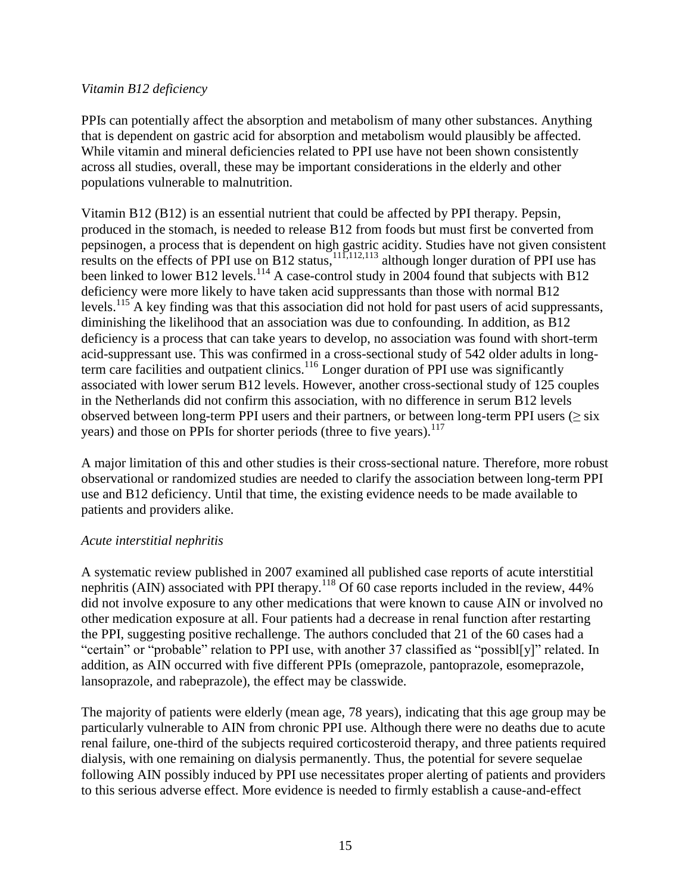#### *Vitamin B12 deficiency*

PPIs can potentially affect the absorption and metabolism of many other substances. Anything that is dependent on gastric acid for absorption and metabolism would plausibly be affected. While vitamin and mineral deficiencies related to PPI use have not been shown consistently across all studies, overall, these may be important considerations in the elderly and other populations vulnerable to malnutrition.

Vitamin B12 (B12) is an essential nutrient that could be affected by PPI therapy. Pepsin, produced in the stomach, is needed to release B12 from foods but must first be converted from pepsinogen, a process that is dependent on high gastric acidity. Studies have not given consistent results on the effects of PPI use on B12 status,  $111,112,113$  although longer duration of PPI use has been linked to lower B12 levels.<sup>114</sup> A case-control study in  $2004$  found that subjects with B12 deficiency were more likely to have taken acid suppressants than those with normal B12 levels.<sup>115</sup> A key finding was that this association did not hold for past users of acid suppressants, diminishing the likelihood that an association was due to confounding. In addition, as B12 deficiency is a process that can take years to develop, no association was found with short-term acid-suppressant use. This was confirmed in a cross-sectional study of 542 older adults in longterm care facilities and outpatient clinics.<sup>116</sup> Longer duration of PPI use was significantly associated with lower serum B12 levels. However, another cross-sectional study of 125 couples in the Netherlands did not confirm this association, with no difference in serum B12 levels observed between long-term PPI users and their partners, or between long-term PPI users ( $\geq$  six years) and those on PPIs for shorter periods (three to five years).<sup>117</sup>

A major limitation of this and other studies is their cross-sectional nature. Therefore, more robust observational or randomized studies are needed to clarify the association between long-term PPI use and B12 deficiency. Until that time, the existing evidence needs to be made available to patients and providers alike.

#### *Acute interstitial nephritis*

A systematic review published in 2007 examined all published case reports of acute interstitial nephritis (AIN) associated with PPI therapy.<sup>118</sup> Of 60 case reports included in the review, 44% did not involve exposure to any other medications that were known to cause AIN or involved no other medication exposure at all. Four patients had a decrease in renal function after restarting the PPI, suggesting positive rechallenge. The authors concluded that 21 of the 60 cases had a "certain" or "probable" relation to PPI use, with another 37 classified as "possibl[y]" related. In addition, as AIN occurred with five different PPIs (omeprazole, pantoprazole, esomeprazole, lansoprazole, and rabeprazole), the effect may be classwide.

The majority of patients were elderly (mean age, 78 years), indicating that this age group may be particularly vulnerable to AIN from chronic PPI use. Although there were no deaths due to acute renal failure, one-third of the subjects required corticosteroid therapy, and three patients required dialysis, with one remaining on dialysis permanently. Thus, the potential for severe sequelae following AIN possibly induced by PPI use necessitates proper alerting of patients and providers to this serious adverse effect. More evidence is needed to firmly establish a cause-and-effect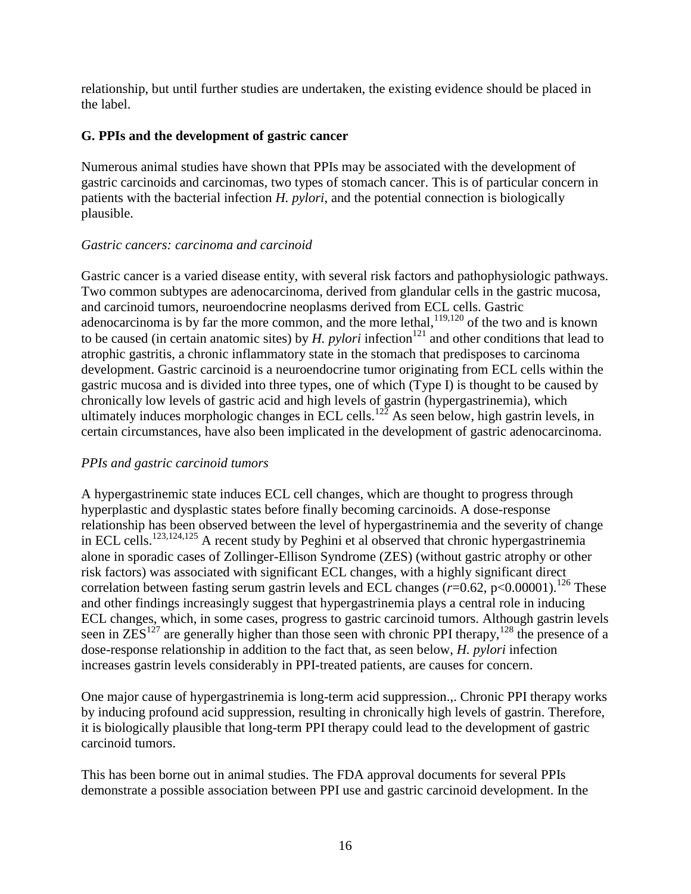relationship, but until further studies are undertaken, the existing evidence should be placed in the label.

### **G. PPIs and the development of gastric cancer**

Numerous animal studies have shown that PPIs may be associated with the development of gastric carcinoids and carcinomas, two types of stomach cancer. This is of particular concern in patients with the bacterial infection *H. pylori*, and the potential connection is biologically plausible.

### *Gastric cancers: carcinoma and carcinoid*

Gastric cancer is a varied disease entity, with several risk factors and pathophysiologic pathways. Two common subtypes are adenocarcinoma, derived from glandular cells in the gastric mucosa, and carcinoid tumors, neuroendocrine neoplasms derived from ECL cells. Gastric adenocarcinoma is by far the more common, and the more lethal,  $119,120$  of the two and is known to be caused (in certain anatomic sites) by *H. pylori* infection<sup>121</sup> and other conditions that lead to atrophic gastritis, a chronic inflammatory state in the stomach that predisposes to carcinoma development. Gastric carcinoid is a neuroendocrine tumor originating from ECL cells within the gastric mucosa and is divided into three types, one of which (Type I) is thought to be caused by chronically low levels of gastric acid and high levels of gastrin (hypergastrinemia), which ultimately induces morphologic changes in ECL cells.<sup>122</sup> As seen below, high gastrin levels, in certain circumstances, have also been implicated in the development of gastric adenocarcinoma.

# *PPIs and gastric carcinoid tumors*

A hypergastrinemic state induces ECL cell changes, which are thought to progress through hyperplastic and dysplastic states before finally becoming carcinoids. A dose-response relationship has been observed between the level of hypergastrinemia and the severity of change in ECL cells.123,124,125 A recent study by Peghini et al observed that chronic hypergastrinemia alone in sporadic cases of Zollinger-Ellison Syndrome (ZES) (without gastric atrophy or other risk factors) was associated with significant ECL changes, with a highly significant direct correlation between fasting serum gastrin levels and ECL changes  $(r=0.62, p<0.00001)$ .<sup>126</sup> These and other findings increasingly suggest that hypergastrinemia plays a central role in inducing ECL changes, which, in some cases, progress to gastric carcinoid tumors. Although gastrin levels seen in  $ZES^{127}$  are generally higher than those seen with chronic PPI therapy,  $128$  the presence of a dose-response relationship in addition to the fact that, as seen below, *H. pylori* infection increases gastrin levels considerably in PPI-treated patients, are causes for concern.

One major cause of hypergastrinemia is long-term acid suppression.,. Chronic PPI therapy works by inducing profound acid suppression, resulting in chronically high levels of gastrin. Therefore, it is biologically plausible that long-term PPI therapy could lead to the development of gastric carcinoid tumors.

This has been borne out in animal studies. The FDA approval documents for several PPIs demonstrate a possible association between PPI use and gastric carcinoid development. In the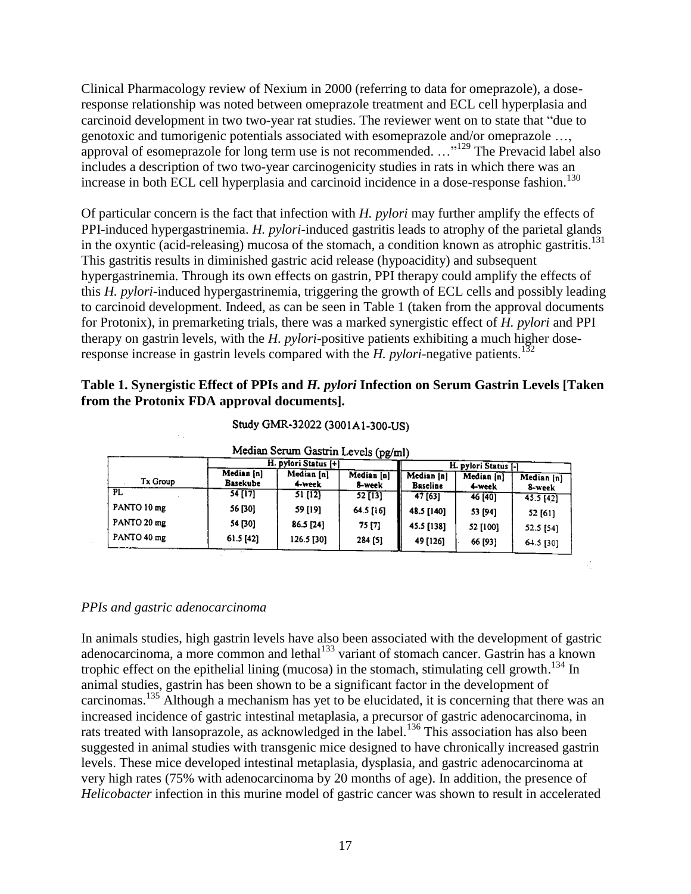Clinical Pharmacology review of Nexium in 2000 (referring to data for omeprazole), a doseresponse relationship was noted between omeprazole treatment and ECL cell hyperplasia and carcinoid development in two two-year rat studies. The reviewer went on to state that "due to genotoxic and tumorigenic potentials associated with esomeprazole and/or omeprazole …, approval of esomeprazole for long term use is not recommended.  $\ldots$ <sup>129</sup> The Prevacid label also includes a description of two two-year carcinogenicity studies in rats in which there was an increase in both ECL cell hyperplasia and carcinoid incidence in a dose-response fashion.<sup>130</sup>

Of particular concern is the fact that infection with *H. pylori* may further amplify the effects of PPI-induced hypergastrinemia. *H. pylori*-induced gastritis leads to atrophy of the parietal glands in the oxyntic (acid-releasing) mucosa of the stomach, a condition known as atrophic gastritis.<sup>131</sup> This gastritis results in diminished gastric acid release (hypoacidity) and subsequent hypergastrinemia. Through its own effects on gastrin, PPI therapy could amplify the effects of this *H. pylori*-induced hypergastrinemia, triggering the growth of ECL cells and possibly leading to carcinoid development. Indeed, as can be seen in Table 1 (taken from the approval documents for Protonix), in premarketing trials, there was a marked synergistic effect of *H. pylori* and PPI therapy on gastrin levels, with the *H. pylori*-positive patients exhibiting a much higher doseresponse increase in gastrin levels compared with the *H. pylori-negative patients*.<sup>132</sup>

### **Table 1. Synergistic Effect of PPIs and** *H. pylori* **Infection on Serum Gastrin Levels [Taken from the Protonix FDA approval documents].**

| Median Serum Gastrin Levels (pg/ml) |                        |                      |                      |                               |                      |                      |  |  |  |
|-------------------------------------|------------------------|----------------------|----------------------|-------------------------------|----------------------|----------------------|--|--|--|
|                                     | H. pylori Status [+]   |                      |                      | H. pylori Status [-]          |                      |                      |  |  |  |
| Tx Group                            | Median [n]<br>Basekube | Median [n]<br>4-week | Median [n]<br>8-week | Median [n]<br><b>Baseline</b> | Median [n]<br>4-week | Median [n]<br>8-week |  |  |  |
| PL                                  | 54 [17]                | 51 [12]              | $52$ [13]            | 47[63]                        | 46 [40]              | $45.5$ $[42]$        |  |  |  |
| PANTO 10 mg                         | 56 [30]                | 59 [19]              | 64.5 [16]            | 48.5 [140]                    | 53 [94]              | 52 [61]              |  |  |  |
| PANTO 20 mg                         | 54 [30]                | 86.5 [24]            | 75 [7]               | 45.5 [138]                    | 52 [100]             | 52.5 [54]            |  |  |  |
| PANTO 40 mg                         | 61.5 [42]              | 126.5 [30]           | 284 [5]              | 49 [126]                      | 66 [93]              | $64.5$ [30]          |  |  |  |

Study GMR-32022 (3001A1-300-US)

#### *PPIs and gastric adenocarcinoma*

In animals studies, high gastrin levels have also been associated with the development of gastric adenocarcinoma, a more common and lethal<sup>133</sup> variant of stomach cancer. Gastrin has a known trophic effect on the epithelial lining (mucosa) in the stomach, stimulating cell growth.<sup>134</sup> In animal studies, gastrin has been shown to be a significant factor in the development of carcinomas.<sup>135</sup> Although a mechanism has yet to be elucidated, it is concerning that there was an increased incidence of gastric intestinal metaplasia, a precursor of gastric adenocarcinoma, in rats treated with lansoprazole, as acknowledged in the label.<sup>136</sup> This association has also been suggested in animal studies with transgenic mice designed to have chronically increased gastrin levels. These mice developed intestinal metaplasia, dysplasia, and gastric adenocarcinoma at very high rates (75% with adenocarcinoma by 20 months of age). In addition, the presence of *Helicobacter* infection in this murine model of gastric cancer was shown to result in accelerated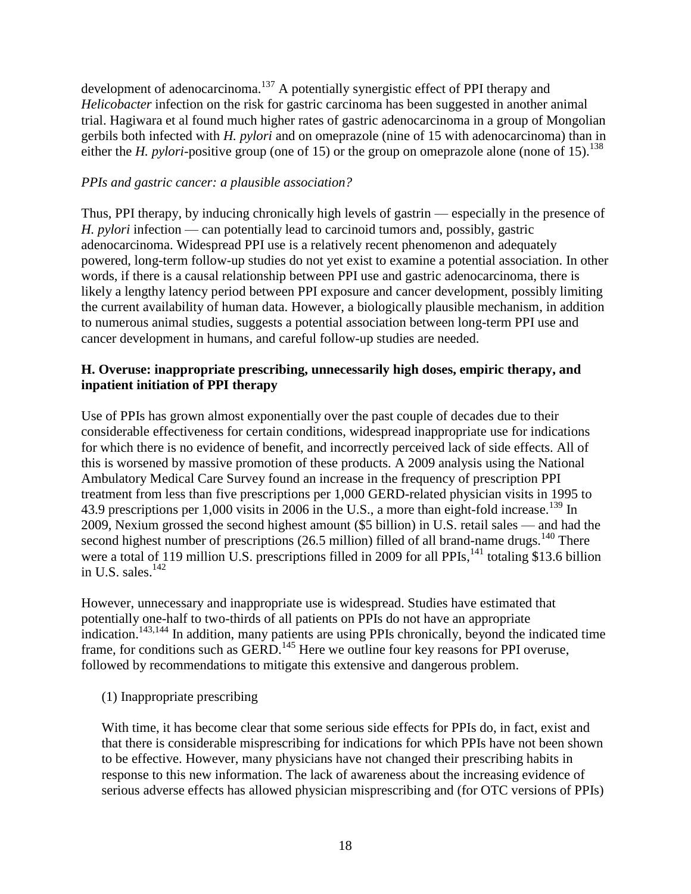development of adenocarcinoma.<sup>137</sup> A potentially synergistic effect of PPI therapy and *Helicobacter* infection on the risk for gastric carcinoma has been suggested in another animal trial. Hagiwara et al found much higher rates of gastric adenocarcinoma in a group of Mongolian gerbils both infected with *H. pylori* and on omeprazole (nine of 15 with adenocarcinoma) than in either the *H. pylori*-positive group (one of 15) or the group on omeprazole alone (none of 15).<sup>138</sup>

### *PPIs and gastric cancer: a plausible association?*

Thus, PPI therapy, by inducing chronically high levels of gastrin — especially in the presence of *H. pylori* infection — can potentially lead to carcinoid tumors and, possibly, gastric adenocarcinoma. Widespread PPI use is a relatively recent phenomenon and adequately powered, long-term follow-up studies do not yet exist to examine a potential association. In other words, if there is a causal relationship between PPI use and gastric adenocarcinoma, there is likely a lengthy latency period between PPI exposure and cancer development, possibly limiting the current availability of human data. However, a biologically plausible mechanism, in addition to numerous animal studies, suggests a potential association between long-term PPI use and cancer development in humans, and careful follow-up studies are needed.

### **H. Overuse: inappropriate prescribing, unnecessarily high doses, empiric therapy, and inpatient initiation of PPI therapy**

Use of PPIs has grown almost exponentially over the past couple of decades due to their considerable effectiveness for certain conditions, widespread inappropriate use for indications for which there is no evidence of benefit, and incorrectly perceived lack of side effects. All of this is worsened by massive promotion of these products. A 2009 analysis using the National Ambulatory Medical Care Survey found an increase in the frequency of prescription PPI treatment from less than five prescriptions per 1,000 GERD-related physician visits in 1995 to 43.9 prescriptions per 1,000 visits in 2006 in the U.S., a more than eight-fold increase.<sup>139</sup> In 2009, Nexium grossed the second highest amount (\$5 billion) in U.S. retail sales — and had the second highest number of prescriptions  $(26.5 \text{ million})$  filled of all brand-name drugs.<sup>140</sup> There were a total of 119 million U.S. prescriptions filled in 2009 for all PPIs, <sup>141</sup> totaling \$13.6 billion in U.S. sales. $142$ 

However, unnecessary and inappropriate use is widespread. Studies have estimated that potentially one-half to two-thirds of all patients on PPIs do not have an appropriate indication.<sup>143,144</sup> In addition, many patients are using PPIs chronically, beyond the indicated time frame, for conditions such as GERD.<sup>145</sup> Here we outline four key reasons for PPI overuse, followed by recommendations to mitigate this extensive and dangerous problem.

(1) Inappropriate prescribing

With time, it has become clear that some serious side effects for PPIs do, in fact, exist and that there is considerable misprescribing for indications for which PPIs have not been shown to be effective. However, many physicians have not changed their prescribing habits in response to this new information. The lack of awareness about the increasing evidence of serious adverse effects has allowed physician misprescribing and (for OTC versions of PPIs)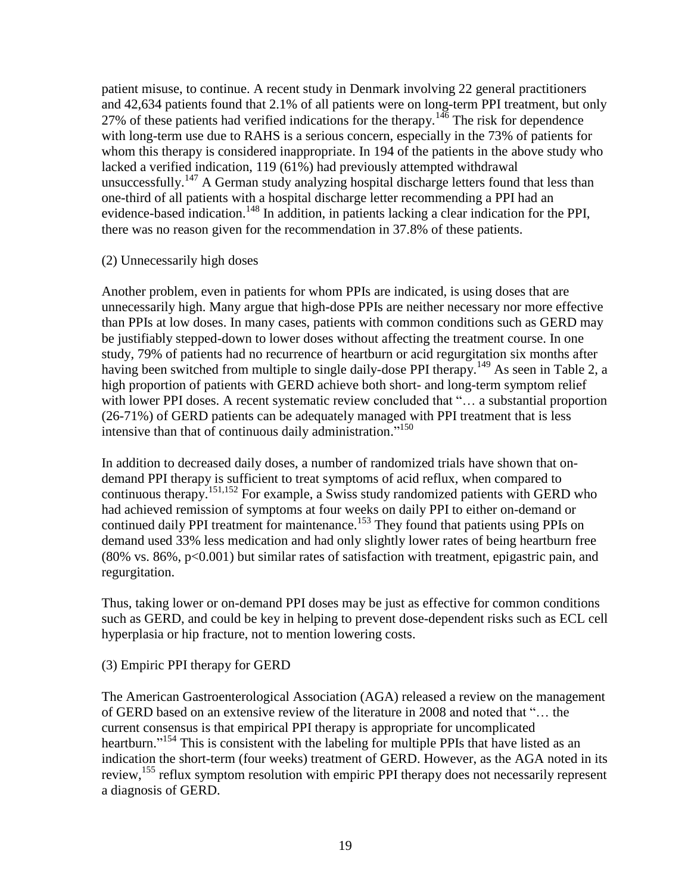patient misuse, to continue. A recent study in Denmark involving 22 general practitioners and 42,634 patients found that 2.1% of all patients were on long-term PPI treatment, but only 27% of these patients had verified indications for the therapy.<sup>146</sup> The risk for dependence with long-term use due to RAHS is a serious concern, especially in the 73% of patients for whom this therapy is considered inappropriate. In 194 of the patients in the above study who lacked a verified indication, 119 (61%) had previously attempted withdrawal unsuccessfully.<sup>147</sup> A German study analyzing hospital discharge letters found that less than one-third of all patients with a hospital discharge letter recommending a PPI had an evidence-based indication.<sup>148</sup> In addition, in patients lacking a clear indication for the PPI, there was no reason given for the recommendation in 37.8% of these patients.

#### (2) Unnecessarily high doses

Another problem, even in patients for whom PPIs are indicated, is using doses that are unnecessarily high. Many argue that high-dose PPIs are neither necessary nor more effective than PPIs at low doses. In many cases, patients with common conditions such as GERD may be justifiably stepped-down to lower doses without affecting the treatment course. In one study, 79% of patients had no recurrence of heartburn or acid regurgitation six months after having been switched from multiple to single daily-dose PPI therapy.<sup>149</sup> As seen in Table 2, a high proportion of patients with GERD achieve both short- and long-term symptom relief with lower PPI doses. A recent systematic review concluded that "... a substantial proportion (26-71%) of GERD patients can be adequately managed with PPI treatment that is less intensive than that of continuous daily administration."<sup>150</sup>

In addition to decreased daily doses, a number of randomized trials have shown that ondemand PPI therapy is sufficient to treat symptoms of acid reflux, when compared to continuous therapy. 151,152 For example, a Swiss study randomized patients with GERD who had achieved remission of symptoms at four weeks on daily PPI to either on-demand or continued daily PPI treatment for maintenance.<sup>153</sup> They found that patients using PPIs on demand used 33% less medication and had only slightly lower rates of being heartburn free  $(80\% \text{ vs. } 86\%, \text{ p} < 0.001)$  but similar rates of satisfaction with treatment, epigastric pain, and regurgitation.

Thus, taking lower or on-demand PPI doses may be just as effective for common conditions such as GERD, and could be key in helping to prevent dose-dependent risks such as ECL cell hyperplasia or hip fracture, not to mention lowering costs.

#### (3) Empiric PPI therapy for GERD

The American Gastroenterological Association (AGA) released a review on the management of GERD based on an extensive review of the literature in 2008 and noted that ―… the current consensus is that empirical PPI therapy is appropriate for uncomplicated heartburn."<sup>154</sup> This is consistent with the labeling for multiple PPIs that have listed as an indication the short-term (four weeks) treatment of GERD. However, as the AGA noted in its review,<sup>155</sup> reflux symptom resolution with empiric PPI therapy does not necessarily represent a diagnosis of GERD.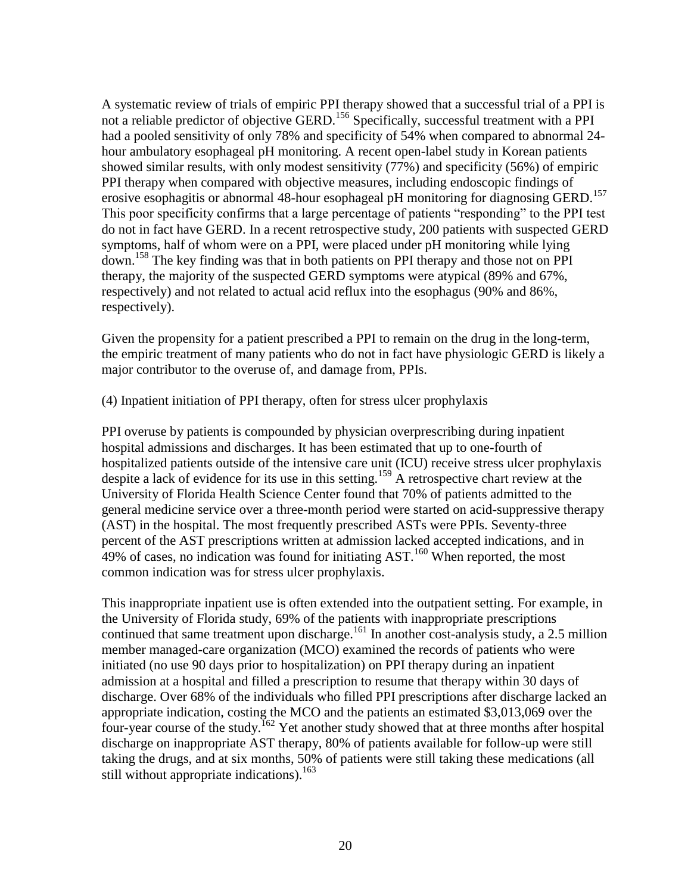A systematic review of trials of empiric PPI therapy showed that a successful trial of a PPI is not a reliable predictor of objective GERD.<sup>156</sup> Specifically, successful treatment with a PPI had a pooled sensitivity of only 78% and specificity of 54% when compared to abnormal 24 hour ambulatory esophageal pH monitoring. A recent open-label study in Korean patients showed similar results, with only modest sensitivity (77%) and specificity (56%) of empiric PPI therapy when compared with objective measures, including endoscopic findings of erosive esophagitis or abnormal 48-hour esophageal pH monitoring for diagnosing GERD.<sup>157</sup> This poor specificity confirms that a large percentage of patients "responding" to the PPI test do not in fact have GERD. In a recent retrospective study, 200 patients with suspected GERD symptoms, half of whom were on a PPI, were placed under pH monitoring while lying down.<sup>158</sup> The key finding was that in both patients on PPI therapy and those not on PPI therapy, the majority of the suspected GERD symptoms were atypical (89% and 67%, respectively) and not related to actual acid reflux into the esophagus (90% and 86%, respectively).

Given the propensity for a patient prescribed a PPI to remain on the drug in the long-term, the empiric treatment of many patients who do not in fact have physiologic GERD is likely a major contributor to the overuse of, and damage from, PPIs.

(4) Inpatient initiation of PPI therapy, often for stress ulcer prophylaxis

PPI overuse by patients is compounded by physician overprescribing during inpatient hospital admissions and discharges. It has been estimated that up to one-fourth of hospitalized patients outside of the intensive care unit (ICU) receive stress ulcer prophylaxis despite a lack of evidence for its use in this setting.<sup>159</sup> A retrospective chart review at the University of Florida Health Science Center found that 70% of patients admitted to the general medicine service over a three-month period were started on acid-suppressive therapy (AST) in the hospital. The most frequently prescribed ASTs were PPIs. Seventy-three percent of the AST prescriptions written at admission lacked accepted indications, and in 49% of cases, no indication was found for initiating  $AST.^{160}$  When reported, the most common indication was for stress ulcer prophylaxis.

This inappropriate inpatient use is often extended into the outpatient setting. For example, in the University of Florida study, 69% of the patients with inappropriate prescriptions continued that same treatment upon discharge.<sup>161</sup> In another cost-analysis study, a 2.5 million member managed-care organization (MCO) examined the records of patients who were initiated (no use 90 days prior to hospitalization) on PPI therapy during an inpatient admission at a hospital and filled a prescription to resume that therapy within 30 days of discharge. Over 68% of the individuals who filled PPI prescriptions after discharge lacked an appropriate indication, costing the MCO and the patients an estimated \$3,013,069 over the four-year course of the study.<sup>162</sup> Yet another study showed that at three months after hospital discharge on inappropriate AST therapy, 80% of patients available for follow-up were still taking the drugs, and at six months, 50% of patients were still taking these medications (all still without appropriate indications). 163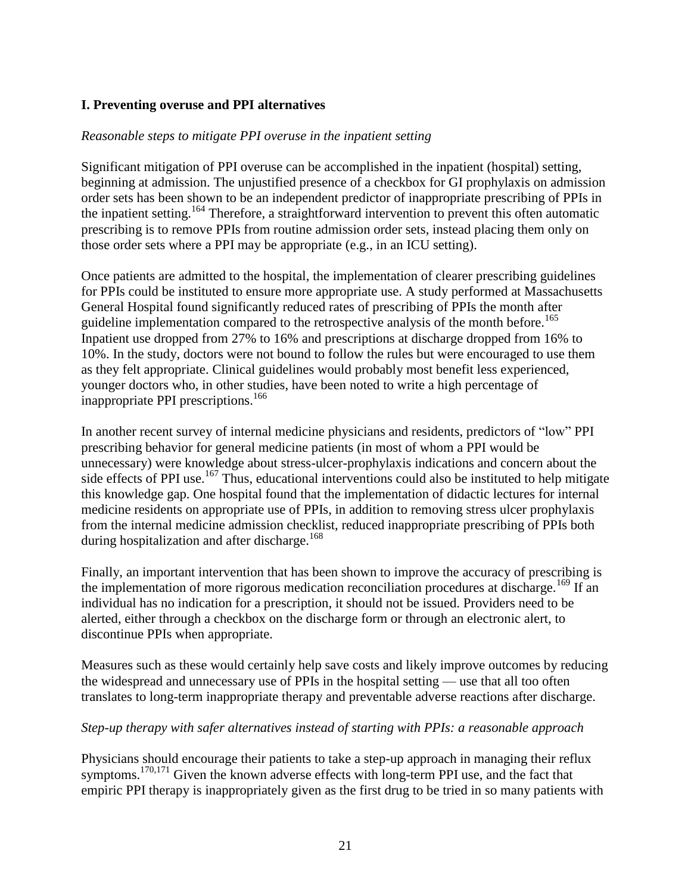### **I. Preventing overuse and PPI alternatives**

#### *Reasonable steps to mitigate PPI overuse in the inpatient setting*

Significant mitigation of PPI overuse can be accomplished in the inpatient (hospital) setting, beginning at admission. The unjustified presence of a checkbox for GI prophylaxis on admission order sets has been shown to be an independent predictor of inappropriate prescribing of PPIs in the inpatient setting.<sup>164</sup> Therefore, a straightforward intervention to prevent this often automatic prescribing is to remove PPIs from routine admission order sets, instead placing them only on those order sets where a PPI may be appropriate (e.g., in an ICU setting).

Once patients are admitted to the hospital, the implementation of clearer prescribing guidelines for PPIs could be instituted to ensure more appropriate use. A study performed at Massachusetts General Hospital found significantly reduced rates of prescribing of PPIs the month after guideline implementation compared to the retrospective analysis of the month before.<sup>165</sup> Inpatient use dropped from 27% to 16% and prescriptions at discharge dropped from 16% to 10%. In the study, doctors were not bound to follow the rules but were encouraged to use them as they felt appropriate. Clinical guidelines would probably most benefit less experienced, younger doctors who, in other studies, have been noted to write a high percentage of inappropriate PPI prescriptions.<sup>166</sup>

In another recent survey of internal medicine physicians and residents, predictors of "low" PPI prescribing behavior for general medicine patients (in most of whom a PPI would be unnecessary) were knowledge about stress-ulcer-prophylaxis indications and concern about the side effects of PPI use.<sup>167</sup> Thus, educational interventions could also be instituted to help mitigate this knowledge gap. One hospital found that the implementation of didactic lectures for internal medicine residents on appropriate use of PPIs, in addition to removing stress ulcer prophylaxis from the internal medicine admission checklist, reduced inappropriate prescribing of PPIs both during hospitalization and after discharge.<sup>168</sup>

Finally, an important intervention that has been shown to improve the accuracy of prescribing is the implementation of more rigorous medication reconciliation procedures at discharge.<sup>169</sup> If an individual has no indication for a prescription, it should not be issued. Providers need to be alerted, either through a checkbox on the discharge form or through an electronic alert, to discontinue PPIs when appropriate.

Measures such as these would certainly help save costs and likely improve outcomes by reducing the widespread and unnecessary use of PPIs in the hospital setting — use that all too often translates to long-term inappropriate therapy and preventable adverse reactions after discharge.

#### *Step-up therapy with safer alternatives instead of starting with PPIs: a reasonable approach*

Physicians should encourage their patients to take a step-up approach in managing their reflux symptoms.<sup>170,171</sup> Given the known adverse effects with long-term PPI use, and the fact that empiric PPI therapy is inappropriately given as the first drug to be tried in so many patients with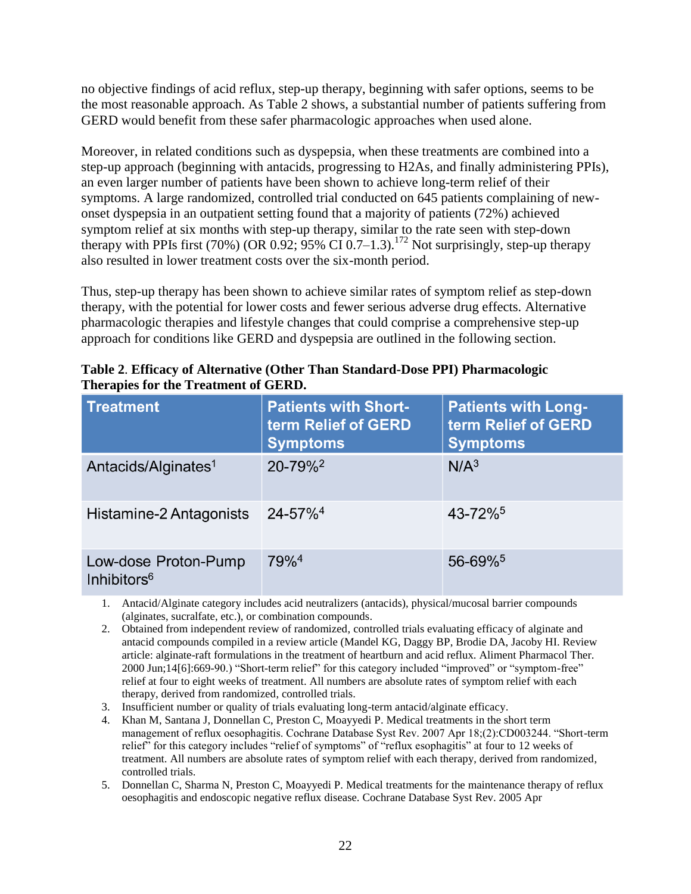no objective findings of acid reflux, step-up therapy, beginning with safer options, seems to be the most reasonable approach. As Table 2 shows, a substantial number of patients suffering from GERD would benefit from these safer pharmacologic approaches when used alone.

Moreover, in related conditions such as dyspepsia, when these treatments are combined into a step-up approach (beginning with antacids, progressing to H2As, and finally administering PPIs), an even larger number of patients have been shown to achieve long-term relief of their symptoms. A large randomized, controlled trial conducted on 645 patients complaining of newonset dyspepsia in an outpatient setting found that a majority of patients (72%) achieved symptom relief at six months with step-up therapy, similar to the rate seen with step-down therapy with PPIs first (70%) (OR 0.92;  $95\%$  CI 0.7–1.3).<sup>172</sup> Not surprisingly, step-up therapy also resulted in lower treatment costs over the six-month period.

Thus, step-up therapy has been shown to achieve similar rates of symptom relief as step-down therapy, with the potential for lower costs and fewer serious adverse drug effects. Alternative pharmacologic therapies and lifestyle changes that could comprise a comprehensive step-up approach for conditions like GERD and dyspepsia are outlined in the following section.

| <b>Treatment</b>                                | <b>Patients with Short-</b><br>term Relief of GERD<br><b>Symptoms</b> | <b>Patients with Long-</b><br>term Relief of GERD<br><b>Symptoms</b> |
|-------------------------------------------------|-----------------------------------------------------------------------|----------------------------------------------------------------------|
| Antacids/Alginates <sup>1</sup>                 | 20-79% <sup>2</sup>                                                   | N/A <sup>3</sup>                                                     |
| Histamine-2 Antagonists                         | $24 - 57\%$ <sup>4</sup>                                              | 43-72% <sup>5</sup>                                                  |
| Low-dose Proton-Pump<br>Inhibitors <sup>6</sup> | 79% <sup>4</sup>                                                      | 56-69%                                                               |

|                                      | Table 2. Efficacy of Alternative (Other Than Standard-Dose PPI) Pharmacologic |
|--------------------------------------|-------------------------------------------------------------------------------|
| Therapies for the Treatment of GERD. |                                                                               |

- 1. Antacid/Alginate category includes acid neutralizers (antacids), physical/mucosal barrier compounds (alginates, sucralfate, etc.), or combination compounds.
- 2. Obtained from independent review of randomized, controlled trials evaluating efficacy of alginate and antacid compounds compiled in a review article (Mandel KG, Daggy BP, Brodie DA, Jacoby HI. Review article: alginate-raft formulations in the treatment of heartburn and acid reflux. Aliment Pharmacol Ther. 2000 Jun;14[6]:669-90.) "Short-term relief" for this category included "improved" or "symptom-free" relief at four to eight weeks of treatment. All numbers are absolute rates of symptom relief with each therapy, derived from randomized, controlled trials.
- 3. Insufficient number or quality of trials evaluating long-term antacid/alginate efficacy.
- 4. Khan M, Santana J, Donnellan C, Preston C, Moayyedi P. Medical treatments in the short term management of reflux oesophagitis. Cochrane Database Syst Rev. 2007 Apr 18;(2):CD003244. "Short-term relief' for this category includes "relief of symptoms" of "reflux esophagitis" at four to 12 weeks of treatment. All numbers are absolute rates of symptom relief with each therapy, derived from randomized, controlled trials.
- 5. Donnellan C, Sharma N, Preston C, Moayyedi P. Medical treatments for the maintenance therapy of reflux oesophagitis and endoscopic negative reflux disease. Cochrane Database Syst Rev. 2005 Apr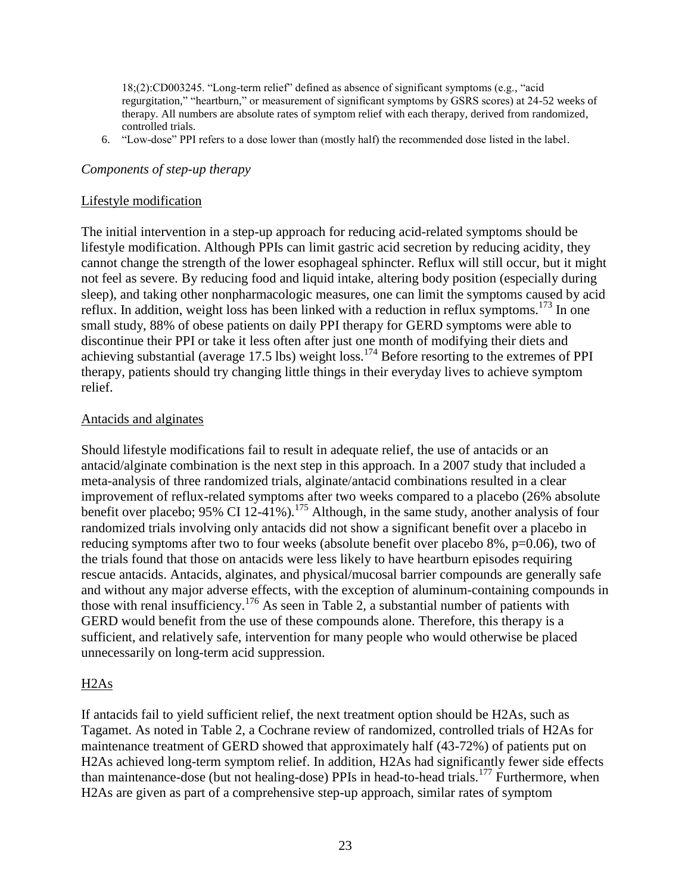$18(2)$ :CD003245. "Long-term relief" defined as absence of significant symptoms (e.g., "acid regurgitation," "heartburn," or measurement of significant symptoms by GSRS scores) at 24-52 weeks of therapy. All numbers are absolute rates of symptom relief with each therapy, derived from randomized, controlled trials.

6. "Low-dose" PPI refers to a dose lower than (mostly half) the recommended dose listed in the label.

#### *Components of step-up therapy*

#### Lifestyle modification

The initial intervention in a step-up approach for reducing acid-related symptoms should be lifestyle modification. Although PPIs can limit gastric acid secretion by reducing acidity, they cannot change the strength of the lower esophageal sphincter. Reflux will still occur, but it might not feel as severe. By reducing food and liquid intake, altering body position (especially during sleep), and taking other nonpharmacologic measures, one can limit the symptoms caused by acid reflux. In addition, weight loss has been linked with a reduction in reflux symptoms.<sup>173</sup> In one small study, 88% of obese patients on daily PPI therapy for GERD symptoms were able to discontinue their PPI or take it less often after just one month of modifying their diets and achieving substantial (average 17.5 lbs) weight loss.<sup>174</sup> Before resorting to the extremes of PPI therapy, patients should try changing little things in their everyday lives to achieve symptom relief.

#### Antacids and alginates

Should lifestyle modifications fail to result in adequate relief, the use of antacids or an antacid/alginate combination is the next step in this approach. In a 2007 study that included a meta-analysis of three randomized trials, alginate/antacid combinations resulted in a clear improvement of reflux-related symptoms after two weeks compared to a placebo (26% absolute benefit over placebo; 95% CI 12-41%).<sup>175</sup> Although, in the same study, another analysis of four randomized trials involving only antacids did not show a significant benefit over a placebo in reducing symptoms after two to four weeks (absolute benefit over placebo 8%, p=0.06), two of the trials found that those on antacids were less likely to have heartburn episodes requiring rescue antacids. Antacids, alginates, and physical/mucosal barrier compounds are generally safe and without any major adverse effects, with the exception of aluminum-containing compounds in those with renal insufficiency.<sup>176</sup> As seen in Table 2, a substantial number of patients with GERD would benefit from the use of these compounds alone. Therefore, this therapy is a sufficient, and relatively safe, intervention for many people who would otherwise be placed unnecessarily on long-term acid suppression.

#### H2As

If antacids fail to yield sufficient relief, the next treatment option should be H2As, such as Tagamet. As noted in Table 2, a Cochrane review of randomized, controlled trials of H2As for maintenance treatment of GERD showed that approximately half (43-72%) of patients put on H2As achieved long-term symptom relief. In addition, H2As had significantly fewer side effects than maintenance-dose (but not healing-dose) PPIs in head-to-head trials.<sup>177</sup> Furthermore, when H2As are given as part of a comprehensive step-up approach, similar rates of symptom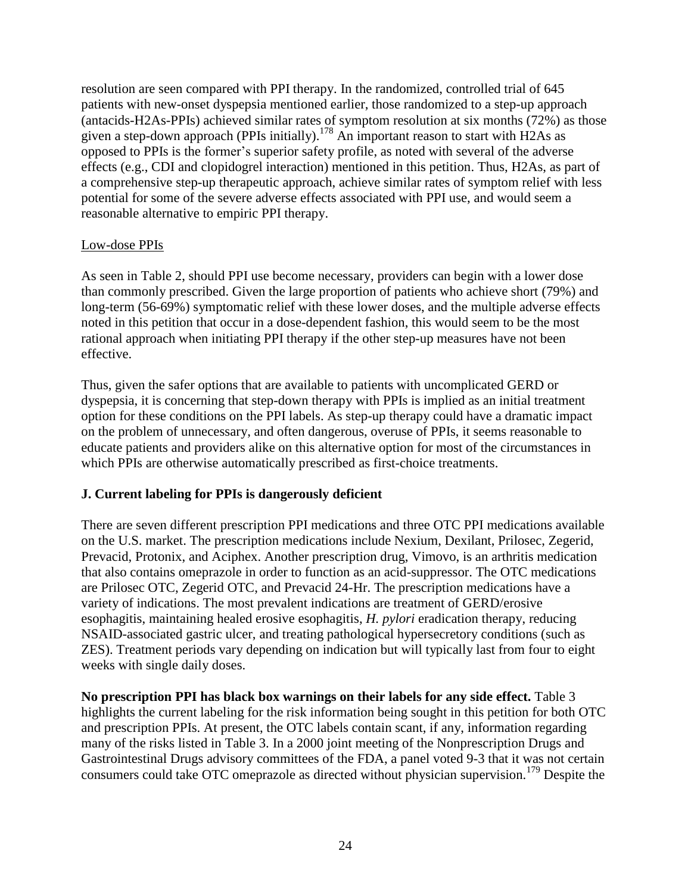resolution are seen compared with PPI therapy. In the randomized, controlled trial of 645 patients with new-onset dyspepsia mentioned earlier, those randomized to a step-up approach (antacids-H2As-PPIs) achieved similar rates of symptom resolution at six months (72%) as those given a step-down approach (PPIs initially).<sup>178</sup> An important reason to start with H2As as opposed to PPIs is the former's superior safety profile, as noted with several of the adverse effects (e.g., CDI and clopidogrel interaction) mentioned in this petition. Thus, H2As, as part of a comprehensive step-up therapeutic approach, achieve similar rates of symptom relief with less potential for some of the severe adverse effects associated with PPI use, and would seem a reasonable alternative to empiric PPI therapy.

### Low-dose PPIs

As seen in Table 2, should PPI use become necessary, providers can begin with a lower dose than commonly prescribed. Given the large proportion of patients who achieve short (79%) and long-term (56-69%) symptomatic relief with these lower doses, and the multiple adverse effects noted in this petition that occur in a dose-dependent fashion, this would seem to be the most rational approach when initiating PPI therapy if the other step-up measures have not been effective.

Thus, given the safer options that are available to patients with uncomplicated GERD or dyspepsia, it is concerning that step-down therapy with PPIs is implied as an initial treatment option for these conditions on the PPI labels. As step-up therapy could have a dramatic impact on the problem of unnecessary, and often dangerous, overuse of PPIs, it seems reasonable to educate patients and providers alike on this alternative option for most of the circumstances in which PPIs are otherwise automatically prescribed as first-choice treatments.

### **J. Current labeling for PPIs is dangerously deficient**

There are seven different prescription PPI medications and three OTC PPI medications available on the U.S. market. The prescription medications include Nexium, Dexilant, Prilosec, Zegerid, Prevacid, Protonix, and Aciphex. Another prescription drug, Vimovo, is an arthritis medication that also contains omeprazole in order to function as an acid-suppressor. The OTC medications are Prilosec OTC, Zegerid OTC, and Prevacid 24-Hr. The prescription medications have a variety of indications. The most prevalent indications are treatment of GERD/erosive esophagitis, maintaining healed erosive esophagitis, *H. pylori* eradication therapy, reducing NSAID-associated gastric ulcer, and treating pathological hypersecretory conditions (such as ZES). Treatment periods vary depending on indication but will typically last from four to eight weeks with single daily doses.

**No prescription PPI has black box warnings on their labels for any side effect.** Table 3 highlights the current labeling for the risk information being sought in this petition for both OTC and prescription PPIs. At present, the OTC labels contain scant, if any, information regarding many of the risks listed in Table 3. In a 2000 joint meeting of the Nonprescription Drugs and Gastrointestinal Drugs advisory committees of the FDA, a panel voted 9-3 that it was not certain consumers could take OTC omeprazole as directed without physician supervision.<sup>179</sup> Despite the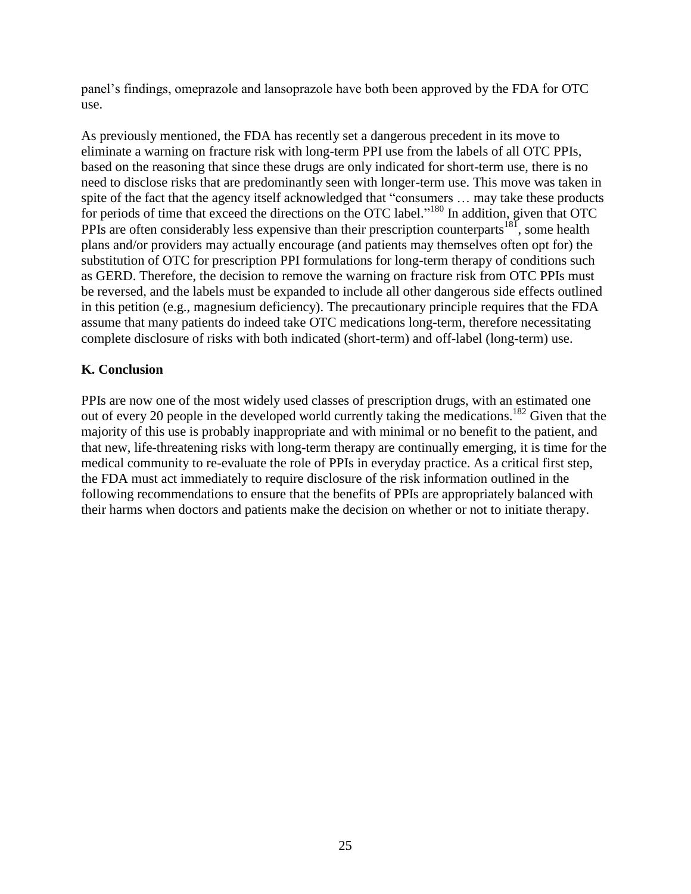panel's findings, omeprazole and lansoprazole have both been approved by the FDA for OTC use.

As previously mentioned, the FDA has recently set a dangerous precedent in its move to eliminate a warning on fracture risk with long-term PPI use from the labels of all OTC PPIs, based on the reasoning that since these drugs are only indicated for short-term use, there is no need to disclose risks that are predominantly seen with longer-term use. This move was taken in spite of the fact that the agency itself acknowledged that "consumers ... may take these products for periods of time that exceed the directions on the OTC label."<sup>180</sup> In addition, given that OTC PPIs are often considerably less expensive than their prescription counterparts<sup>181</sup>, some health plans and/or providers may actually encourage (and patients may themselves often opt for) the substitution of OTC for prescription PPI formulations for long-term therapy of conditions such as GERD. Therefore, the decision to remove the warning on fracture risk from OTC PPIs must be reversed, and the labels must be expanded to include all other dangerous side effects outlined in this petition (e.g., magnesium deficiency). The precautionary principle requires that the FDA assume that many patients do indeed take OTC medications long-term, therefore necessitating complete disclosure of risks with both indicated (short-term) and off-label (long-term) use.

## **K. Conclusion**

PPIs are now one of the most widely used classes of prescription drugs, with an estimated one out of every 20 people in the developed world currently taking the medications. <sup>182</sup> Given that the majority of this use is probably inappropriate and with minimal or no benefit to the patient, and that new, life-threatening risks with long-term therapy are continually emerging, it is time for the medical community to re-evaluate the role of PPIs in everyday practice. As a critical first step, the FDA must act immediately to require disclosure of the risk information outlined in the following recommendations to ensure that the benefits of PPIs are appropriately balanced with their harms when doctors and patients make the decision on whether or not to initiate therapy.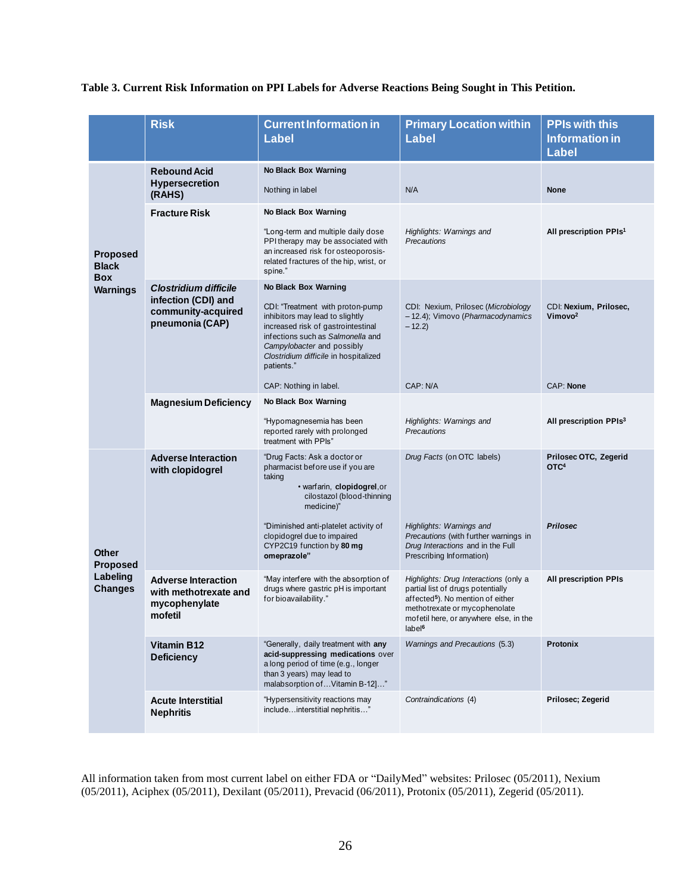#### **Table 3. Current Risk Information on PPI Labels for Adverse Reactions Being Sought in This Petition.**

|                                                                  | <b>Risk</b>                                                                     | <b>Current Information in</b><br><b>Label</b>                                                                                                                                                                                       | <b>Primary Location within</b><br><b>Label</b>                                                                                                                                                                               | <b>PPIs with this</b><br><b>Information in</b> |
|------------------------------------------------------------------|---------------------------------------------------------------------------------|-------------------------------------------------------------------------------------------------------------------------------------------------------------------------------------------------------------------------------------|------------------------------------------------------------------------------------------------------------------------------------------------------------------------------------------------------------------------------|------------------------------------------------|
|                                                                  |                                                                                 |                                                                                                                                                                                                                                     |                                                                                                                                                                                                                              | <b>Label</b>                                   |
| <b>Proposed</b><br><b>Black</b><br><b>Box</b><br><b>Warnings</b> | <b>Rebound Acid</b>                                                             | <b>No Black Box Warning</b>                                                                                                                                                                                                         |                                                                                                                                                                                                                              |                                                |
|                                                                  | <b>Hypersecretion</b><br>(RAHS)                                                 | Nothing in label                                                                                                                                                                                                                    | N/A                                                                                                                                                                                                                          | <b>None</b>                                    |
|                                                                  | <b>Fracture Risk</b>                                                            | <b>No Black Box Warning</b>                                                                                                                                                                                                         |                                                                                                                                                                                                                              |                                                |
|                                                                  |                                                                                 | "Long-term and multiple daily dose<br>PPI therapy may be associated with<br>an increased risk for osteoporosis-<br>related fractures of the hip, wrist, or<br>spine."                                                               | Highlights: Warnings and<br><b>Precautions</b>                                                                                                                                                                               | All prescription PPIs <sup>1</sup>             |
|                                                                  | <b>Clostridium difficile</b>                                                    | No Black Box Warning                                                                                                                                                                                                                |                                                                                                                                                                                                                              |                                                |
|                                                                  | infection (CDI) and<br>community-acquired<br>pneumonia (CAP)                    | CDI: "Treatment with proton-pump<br>inhibitors may lead to slightly<br>increased risk of gastrointestinal<br>infections such as Salmonella and<br>Campylobacter and possibly<br>Clostridium difficile in hospitalized<br>patients." | CDI: Nexium, Prilosec (Microbiology<br>- 12.4); Vimovo (Pharmacodynamics<br>$-12.2$                                                                                                                                          | CDI: Nexium, Prilosec,<br>Vimovo <sup>2</sup>  |
|                                                                  |                                                                                 | CAP: Nothing in label.                                                                                                                                                                                                              | CAP: N/A                                                                                                                                                                                                                     | <b>CAP: None</b>                               |
|                                                                  | <b>Magnesium Deficiency</b>                                                     | No Black Box Warning                                                                                                                                                                                                                |                                                                                                                                                                                                                              |                                                |
|                                                                  |                                                                                 | "Hypomagnesemia has been<br>reported rarely with prolonged<br>treatment with PPIs"                                                                                                                                                  | Highlights: Warnings and<br><b>Precautions</b>                                                                                                                                                                               | All prescription PPIs <sup>3</sup>             |
| <b>Other</b><br><b>Proposed</b><br>Labeling<br><b>Changes</b>    | <b>Adverse Interaction</b><br>with clopidogrel                                  | "Drug Facts: Ask a doctor or<br>pharmacist before use if you are<br>taking<br>· warfarin, clopidogrel, or<br>cilostazol (blood-thinning<br>medicine)"                                                                               | Drug Facts (on OTC labels)                                                                                                                                                                                                   | Prilosec OTC, Zegerid<br>OTC <sup>4</sup>      |
|                                                                  |                                                                                 | "Diminished anti-platelet activity of<br>clopidogrel due to impaired<br>CYP2C19 function by 80 mg<br>omeprazole"                                                                                                                    | Highlights: Warnings and<br>Precautions (with further warnings in<br>Drug Interactions and in the Full<br>Prescribing Information)                                                                                           | <b>Prilosec</b>                                |
|                                                                  | <b>Adverse Interaction</b><br>with methotrexate and<br>mycophenylate<br>mofetil | "May interfere with the absorption of<br>drugs where gastric pH is important<br>for bioavailability."                                                                                                                               | Highlights: Drug Interactions (only a<br>partial list of drugs potentially<br>affected <sup>5</sup> ). No mention of either<br>methotrexate or mycophenolate<br>motetil here, or anywhere else, in the<br>label <sup>6</sup> | <b>All prescription PPIs</b>                   |
|                                                                  | <b>Vitamin B12</b><br><b>Deficiency</b>                                         | "Generally, daily treatment with any<br>acid-suppressing medications over<br>a long period of time (e.g., longer<br>than 3 years) may lead to<br>malabsorption of  Vitamin B-12]"                                                   | <b>Warnings and Precautions (5.3)</b>                                                                                                                                                                                        | <b>Protonix</b>                                |
|                                                                  | <b>Acute Interstitial</b><br><b>Nephritis</b>                                   | "Hypersensitivity reactions may<br>includeinterstitial nephritis"                                                                                                                                                                   | Contraindications (4)                                                                                                                                                                                                        | Prilosec; Zegerid                              |

All information taken from most current label on either FDA or "DailyMed" websites: Prilosec (05/2011), Nexium (05/2011), Aciphex (05/2011), Dexilant (05/2011), Prevacid (06/2011), Protonix (05/2011), Zegerid (05/2011).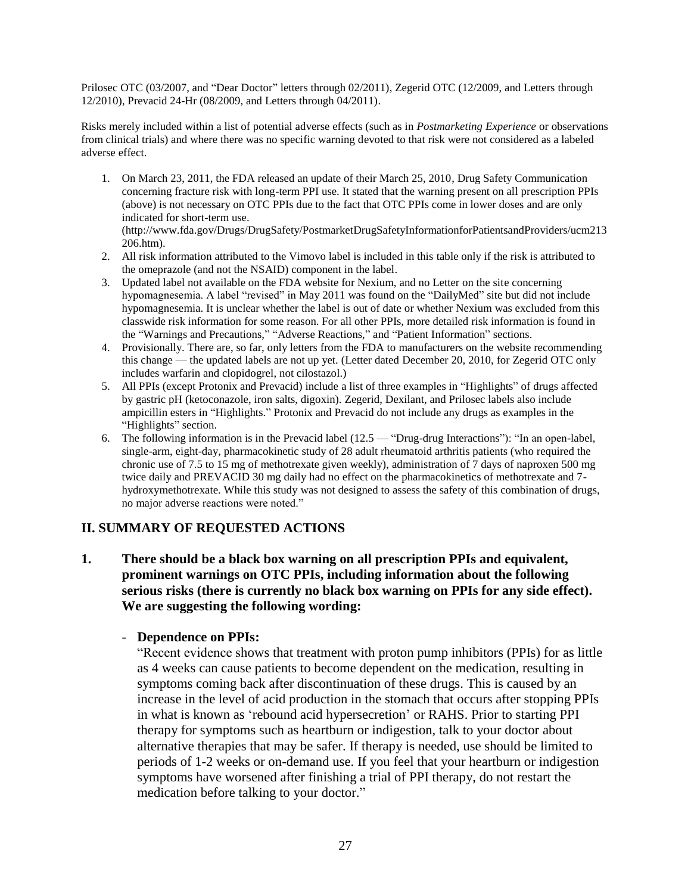Prilosec OTC (03/2007, and "Dear Doctor" letters through 02/2011), Zegerid OTC (12/2009, and Letters through 12/2010), Prevacid 24-Hr (08/2009, and Letters through 04/2011).

Risks merely included within a list of potential adverse effects (such as in *Postmarketing Experience* or observations from clinical trials) and where there was no specific warning devoted to that risk were not considered as a labeled adverse effect.

1. On March 23, 2011, the FDA released an update of their March 25, 2010, Drug Safety Communication concerning fracture risk with long-term PPI use. It stated that the warning present on all prescription PPIs (above) is not necessary on OTC PPIs due to the fact that OTC PPIs come in lower doses and are only indicated for short-term use.

(http://www.fda.gov/Drugs/DrugSafety/PostmarketDrugSafetyInformationforPatientsandProviders/ucm213 206.htm).

- 2. All risk information attributed to the Vimovo label is included in this table only if the risk is attributed to the omeprazole (and not the NSAID) component in the label.
- 3. Updated label not available on the FDA website for Nexium, and no Letter on the site concerning hypomagnesemia. A label "revised" in May 2011 was found on the "DailyMed" site but did not include hypomagnesemia. It is unclear whether the label is out of date or whether Nexium was excluded from this classwide risk information for some reason. For all other PPIs, more detailed risk information is found in the "Warnings and Precautions," "Adverse Reactions," and "Patient Information" sections.
- 4. Provisionally. There are, so far, only letters from the FDA to manufacturers on the website recommending this change — the updated labels are not up yet. (Letter dated December 20, 2010, for Zegerid OTC only includes warfarin and clopidogrel, not cilostazol.)
- 5. All PPIs (except Protonix and Prevacid) include a list of three examples in "Highlights" of drugs affected by gastric pH (ketoconazole, iron salts, digoxin). Zegerid, Dexilant, and Prilosec labels also include ampicillin esters in "Highlights." Protonix and Prevacid do not include any drugs as examples in the "Highlights" section.
- 6. The following information is in the Prevacid label  $(12.5 -$  "Drug-drug Interactions"): "In an open-label, single-arm, eight-day, pharmacokinetic study of 28 adult rheumatoid arthritis patients (who required the chronic use of 7.5 to 15 mg of methotrexate given weekly), administration of 7 days of naproxen 500 mg twice daily and PREVACID 30 mg daily had no effect on the pharmacokinetics of methotrexate and 7 hydroxymethotrexate. While this study was not designed to assess the safety of this combination of drugs, no major adverse reactions were noted."

#### **II. SUMMARY OF REQUESTED ACTIONS**

**1. There should be a black box warning on all prescription PPIs and equivalent, prominent warnings on OTC PPIs, including information about the following serious risks (there is currently no black box warning on PPIs for any side effect). We are suggesting the following wording:**

#### - **Dependence on PPIs:**

―Recent evidence shows that treatment with proton pump inhibitors (PPIs) for as little as 4 weeks can cause patients to become dependent on the medication, resulting in symptoms coming back after discontinuation of these drugs. This is caused by an increase in the level of acid production in the stomach that occurs after stopping PPIs in what is known as 'rebound acid hypersecretion' or RAHS. Prior to starting PPI therapy for symptoms such as heartburn or indigestion, talk to your doctor about alternative therapies that may be safer. If therapy is needed, use should be limited to periods of 1-2 weeks or on-demand use. If you feel that your heartburn or indigestion symptoms have worsened after finishing a trial of PPI therapy, do not restart the medication before talking to your doctor."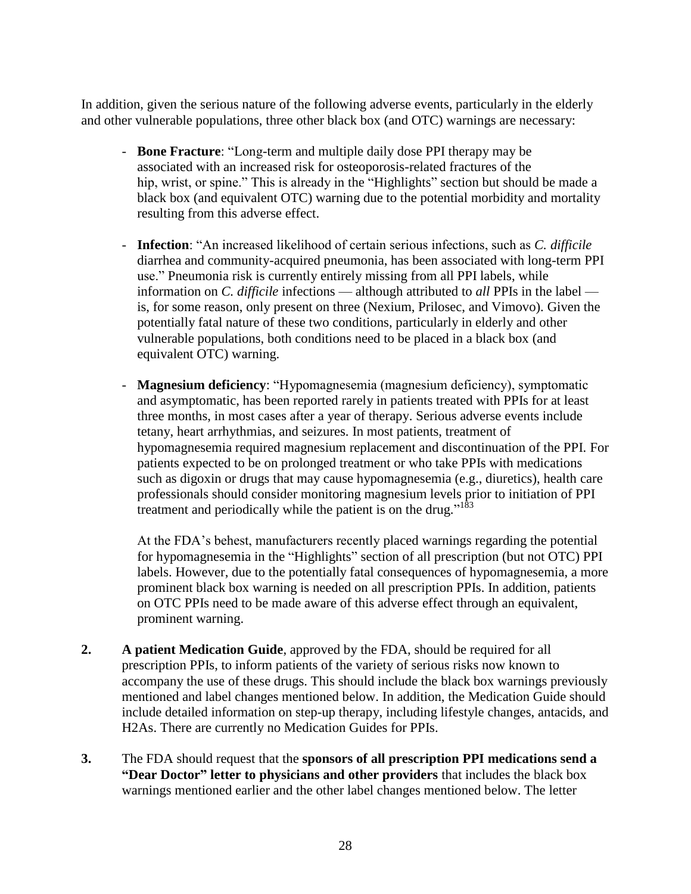In addition, given the serious nature of the following adverse events, particularly in the elderly and other vulnerable populations, three other black box (and OTC) warnings are necessary:

- **Bone Fracture**: "Long-term and multiple daily dose PPI therapy may be associated with an increased risk for osteoporosis-related fractures of the hip, wrist, or spine." This is already in the "Highlights" section but should be made a black box (and equivalent OTC) warning due to the potential morbidity and mortality resulting from this adverse effect.
- **Infection**: "An increased likelihood of certain serious infections, such as *C. difficile* diarrhea and community-acquired pneumonia, has been associated with long-term PPI use." Pneumonia risk is currently entirely missing from all PPI labels, while information on *C. difficile* infections — although attributed to *all* PPIs in the label is, for some reason, only present on three (Nexium, Prilosec, and Vimovo). Given the potentially fatal nature of these two conditions, particularly in elderly and other vulnerable populations, both conditions need to be placed in a black box (and equivalent OTC) warning.
- **Magnesium deficiency:** "Hypomagnesemia (magnesium deficiency), symptomatic and asymptomatic, has been reported rarely in patients treated with PPIs for at least three months, in most cases after a year of therapy. Serious adverse events include tetany, heart arrhythmias, and seizures. In most patients, treatment of hypomagnesemia required magnesium replacement and discontinuation of the PPI. For patients expected to be on prolonged treatment or who take PPIs with medications such as digoxin or drugs that may cause hypomagnesemia (e.g., diuretics), health care professionals should consider monitoring magnesium levels prior to initiation of PPI treatment and periodically while the patient is on the drug."<sup>183</sup>

At the FDA's behest, manufacturers recently placed warnings regarding the potential for hypomagnesemia in the "Highlights" section of all prescription (but not OTC) PPI labels. However, due to the potentially fatal consequences of hypomagnesemia, a more prominent black box warning is needed on all prescription PPIs. In addition, patients on OTC PPIs need to be made aware of this adverse effect through an equivalent, prominent warning.

- **2. A patient Medication Guide**, approved by the FDA, should be required for all prescription PPIs, to inform patients of the variety of serious risks now known to accompany the use of these drugs. This should include the black box warnings previously mentioned and label changes mentioned below. In addition, the Medication Guide should include detailed information on step-up therapy, including lifestyle changes, antacids, and H2As. There are currently no Medication Guides for PPIs.
- **3.** The FDA should request that the **sponsors of all prescription PPI medications send a "Dear Doctor" letter to physicians and other providers** that includes the black box warnings mentioned earlier and the other label changes mentioned below. The letter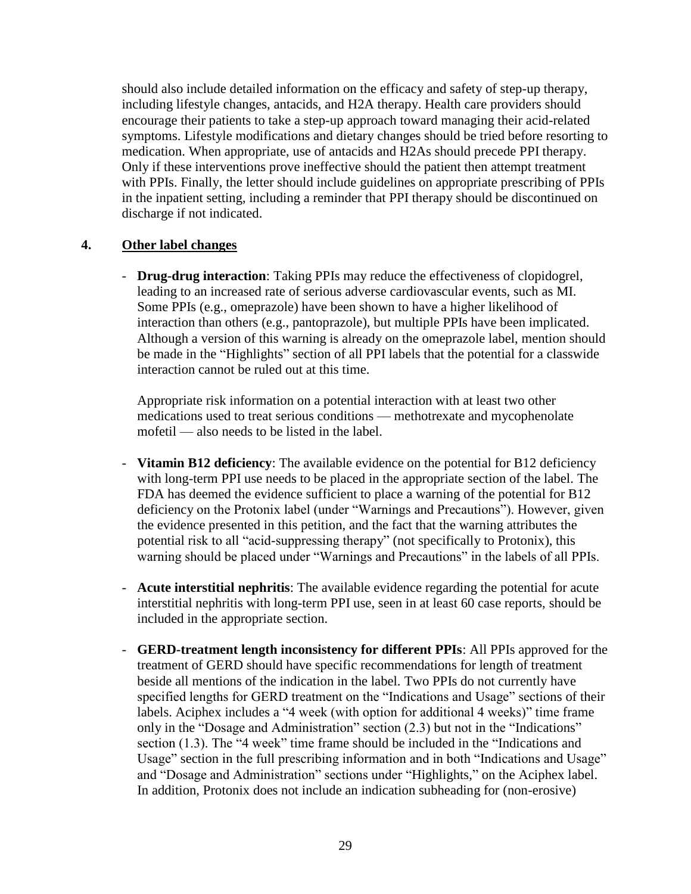should also include detailed information on the efficacy and safety of step-up therapy, including lifestyle changes, antacids, and H2A therapy. Health care providers should encourage their patients to take a step-up approach toward managing their acid-related symptoms. Lifestyle modifications and dietary changes should be tried before resorting to medication. When appropriate, use of antacids and H2As should precede PPI therapy. Only if these interventions prove ineffective should the patient then attempt treatment with PPIs. Finally, the letter should include guidelines on appropriate prescribing of PPIs in the inpatient setting, including a reminder that PPI therapy should be discontinued on discharge if not indicated.

### **4. Other label changes**

- **Drug-drug interaction**: Taking PPIs may reduce the effectiveness of clopidogrel, leading to an increased rate of serious adverse cardiovascular events, such as MI. Some PPIs (e.g., omeprazole) have been shown to have a higher likelihood of interaction than others (e.g., pantoprazole), but multiple PPIs have been implicated. Although a version of this warning is already on the omeprazole label, mention should be made in the "Highlights" section of all PPI labels that the potential for a classwide interaction cannot be ruled out at this time.

Appropriate risk information on a potential interaction with at least two other medications used to treat serious conditions — methotrexate and mycophenolate mofetil — also needs to be listed in the label.

- **Vitamin B12 deficiency**: The available evidence on the potential for B12 deficiency with long-term PPI use needs to be placed in the appropriate section of the label. The FDA has deemed the evidence sufficient to place a warning of the potential for B12 deficiency on the Protonix label (under "Warnings and Precautions"). However, given the evidence presented in this petition, and the fact that the warning attributes the potential risk to all "acid-suppressing therapy" (not specifically to Protonix), this warning should be placed under "Warnings and Precautions" in the labels of all PPIs.
- **Acute interstitial nephritis**: The available evidence regarding the potential for acute interstitial nephritis with long-term PPI use, seen in at least 60 case reports, should be included in the appropriate section.
- **GERD-treatment length inconsistency for different PPIs**: All PPIs approved for the treatment of GERD should have specific recommendations for length of treatment beside all mentions of the indication in the label. Two PPIs do not currently have specified lengths for GERD treatment on the "Indications and Usage" sections of their labels. Aciphex includes a "4 week (with option for additional 4 weeks)" time frame only in the "Dosage and Administration" section (2.3) but not in the "Indications" section  $(1.3)$ . The "4 week" time frame should be included in the "Indications and Usage" section in the full prescribing information and in both "Indications and Usage" and "Dosage and Administration" sections under "Highlights," on the Aciphex label. In addition, Protonix does not include an indication subheading for (non-erosive)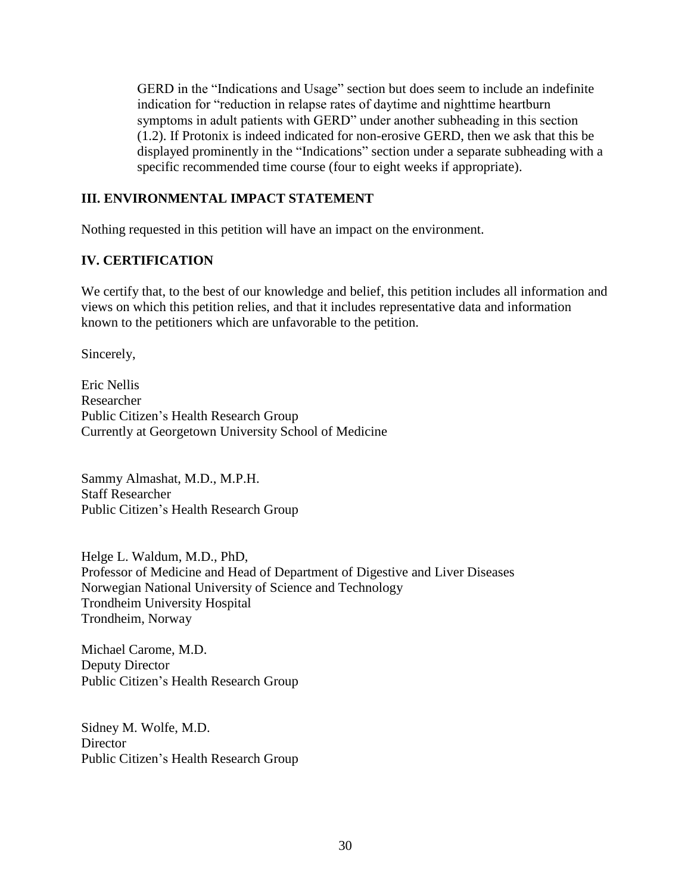GERD in the "Indications and Usage" section but does seem to include an indefinite indication for "reduction in relapse rates of daytime and nighttime heartburn symptoms in adult patients with GERD" under another subheading in this section (1.2). If Protonix is indeed indicated for non-erosive GERD, then we ask that this be displayed prominently in the "Indications" section under a separate subheading with a specific recommended time course (four to eight weeks if appropriate).

# **III. ENVIRONMENTAL IMPACT STATEMENT**

Nothing requested in this petition will have an impact on the environment.

## **IV. CERTIFICATION**

We certify that, to the best of our knowledge and belief, this petition includes all information and views on which this petition relies, and that it includes representative data and information known to the petitioners which are unfavorable to the petition.

Sincerely,

Eric Nellis Researcher Public Citizen's Health Research Group Currently at Georgetown University School of Medicine

Sammy Almashat, M.D., M.P.H. Staff Researcher Public Citizen's Health Research Group

Helge L. Waldum, M.D., PhD, Professor of Medicine and Head of Department of Digestive and Liver Diseases Norwegian National University of Science and Technology Trondheim University Hospital Trondheim, Norway

Michael Carome, M.D. Deputy Director Public Citizen's Health Research Group

Sidney M. Wolfe, M.D. **Director** Public Citizen's Health Research Group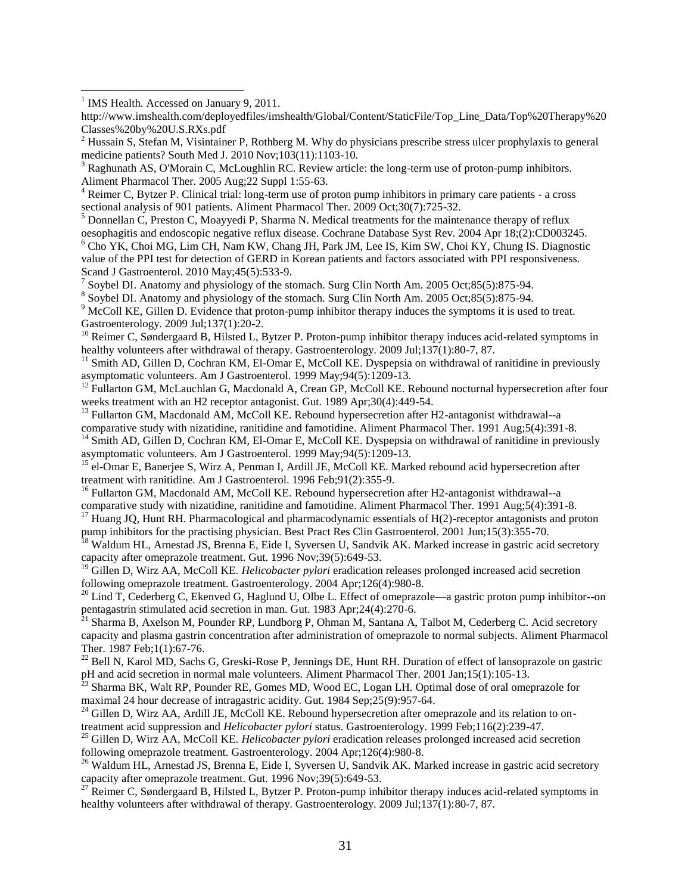$\overline{a}$ 

 $6$  Cho YK, Choi MG, Lim CH, Nam KW, Chang JH, Park JM, Lee IS, Kim SW, Choi KY, Chung IS. Diagnostic value of the PPI test for detection of GERD in Korean patients and factors associated with PPI responsiveness. Scand J Gastroenterol. 2010 May;45(5):533-9.

7 Soybel DI. Anatomy and physiology of the stomach. Surg Clin North Am. 2005 Oct;85(5):875-94.

<sup>8</sup> Soybel DI. Anatomy and physiology of the stomach. Surg Clin North Am. 2005 Oct;85(5):875-94.

<sup>9</sup> McColl KE, Gillen D. Evidence that proton-pump inhibitor therapy induces the symptoms it is used to treat. Gastroenterology. 2009 Jul;137(1):20-2.

<sup>10</sup> Reimer C, Søndergaard B, Hilsted L, Bytzer P. Proton-pump inhibitor therapy induces acid-related symptoms in healthy volunteers after withdrawal of therapy. Gastroenterology. 2009 Jul;137(1):80-7, 87.

- <sup>13</sup> Fullarton GM, Macdonald AM, McColl KE. Rebound hypersecretion after H2-antagonist withdrawal--a
- comparative study with nizatidine, ranitidine and famotidine. Aliment Pharmacol Ther. 1991 Aug;5(4):391-8.

<sup>14</sup> Smith AD, Gillen D, Cochran KM, El-Omar E, McColl KE. Dyspepsia on withdrawal of ranitidine in previously asymptomatic volunteers. Am J Gastroenterol. 1999 May;94(5):1209-13.

<sup>15</sup> el-Omar E, Banerjee S, Wirz A, Penman I, Ardill JE, McColl KE. Marked rebound acid hypersecretion after treatment with ranitidine. Am J Gastroenterol. 1996 Feb;91(2):355-9.

<sup>16</sup> Fullarton GM, Macdonald AM, McColl KE. Rebound hypersecretion after H2-antagonist withdrawal--a comparative study with nizatidine, ranitidine and famotidine. Aliment Pharmacol Ther. 1991 Aug;5(4):391-8.

 $17$  Huang JQ, Hunt RH. Pharmacological and pharmacodynamic essentials of H(2)-receptor antagonists and proton pump inhibitors for the practising physician. Best Pract Res Clin Gastroenterol. 2001 Jun;15(3):355-70.

<sup>18</sup> Waldum HL, Arnestad JS, Brenna E, Eide I, Syversen U, Sandvik AK. Marked increase in gastric acid secretory capacity after omeprazole treatment. Gut. 1996 Nov;39(5):649-53.

<sup>19</sup> Gillen D, Wirz AA, McColl KE. *Helicobacter pylori* eradication releases prolonged increased acid secretion following omeprazole treatment. Gastroenterology. 2004 Apr;126(4):980-8.

<sup>20</sup> Lind T, Cederberg C, Ekenved G, Haglund U, Olbe L. Effect of omeprazole—a gastric proton pump inhibitor--on pentagastrin stimulated acid secretion in man. Gut. 1983 Apr;24(4):270-6.

 $^{21}$  Sharma B, Axelson M, Pounder RP, Lundborg P, Ohman M, Santana A, Talbot M, Cederberg C. Acid secretory capacity and plasma gastrin concentration after administration of omeprazole to normal subjects. Aliment Pharmacol Ther. 1987 Feb;1(1):67-76.

<sup>22</sup> Bell N, Karol MD, Sachs G, Greski-Rose P, Jennings DE, Hunt RH. Duration of effect of lansoprazole on gastric pH and acid secretion in normal male volunteers. Aliment Pharmacol Ther. 2001 Jan;15(1):105-13.

<sup>23</sup> Sharma BK, Walt RP, Pounder RE, Gomes MD, Wood EC, Logan LH. Optimal dose of oral omeprazole for maximal 24 hour decrease of intragastric acidity. Gut. 1984 Sep;25(9):957-64.

<sup>24</sup> Gillen D, Wirz AA, Ardill JE, McColl KE. Rebound hypersecretion after omeprazole and its relation to ontreatment acid suppression and *Helicobacter pylori* status. Gastroenterology. 1999 Feb;116(2):239-47.

<sup>25</sup> Gillen D, Wirz AA, McColl KE. *Helicobacter pylori* eradication releases prolonged increased acid secretion following omeprazole treatment. Gastroenterology. 2004 Apr;126(4):980-8.

<sup>26</sup> Waldum HL, Arnestad JS, Brenna E, Eide I, Syversen U, Sandvik AK. Marked increase in gastric acid secretory capacity after omeprazole treatment. Gut. 1996 Nov;39(5):649-53.

 $^{27}$  Reimer C, Søndergaard B, Hilsted L, Bytzer P. Proton-pump inhibitor therapy induces acid-related symptoms in healthy volunteers after withdrawal of therapy. Gastroenterology. 2009 Jul;137(1):80-7, 87.

<sup>&</sup>lt;sup>1</sup> IMS Health. Accessed on January 9, 2011.

http://www.imshealth.com/deployedfiles/imshealth/Global/Content/StaticFile/Top\_Line\_Data/Top%20Therapy%20 Classes%20by%20U.S.RXs.pdf

 $2$  Hussain S, Stefan M, Visintainer P, Rothberg M. Why do physicians prescribe stress ulcer prophylaxis to general medicine patients? South Med J. 2010 Nov;103(11):1103-10.

<sup>&</sup>lt;sup>3</sup> Raghunath AS, O'Morain C, McLoughlin RC. Review article: the long-term use of proton-pump inhibitors. Aliment Pharmacol Ther. 2005 Aug;22 Suppl 1:55-63.

<sup>&</sup>lt;sup>4</sup> Reimer C, Bytzer P. Clinical trial: long-term use of proton pump inhibitors in primary care patients - a cross sectional analysis of 901 patients. Aliment Pharmacol Ther. 2009 Oct;30(7):725-32.

<sup>5</sup> Donnellan C, Preston C, Moayyedi P, Sharma N. Medical treatments for the maintenance therapy of reflux oesophagitis and endoscopic negative reflux disease. Cochrane Database Syst Rev. 2004 Apr 18;(2):CD003245.

<sup>&</sup>lt;sup>11</sup> Smith AD, Gillen D, Cochran KM, El-Omar E, McColl KE. Dyspepsia on withdrawal of ranitidine in previously asymptomatic volunteers. Am J Gastroenterol. 1999 May;94(5):1209-13.

<sup>&</sup>lt;sup>12</sup> Fullarton GM, McLauchlan G, Macdonald A, Crean GP, McColl KE. Rebound nocturnal hypersecretion after four weeks treatment with an H2 receptor antagonist. Gut. 1989 Apr;30(4):449-54.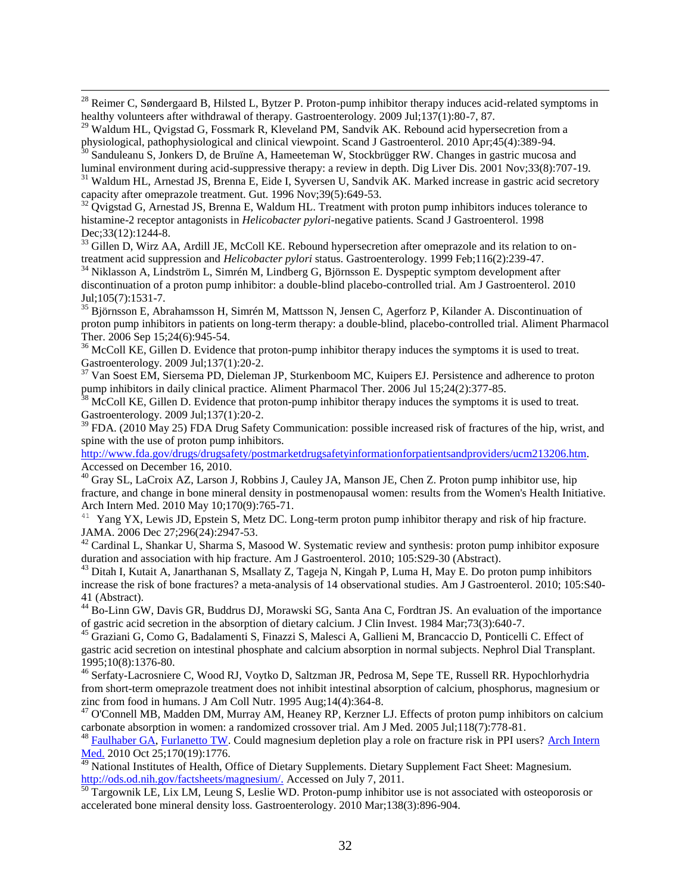$^{28}$  Reimer C, Søndergaard B, Hilsted L, Bytzer P. Proton-pump inhibitor therapy induces acid-related symptoms in healthy volunteers after withdrawal of therapy. Gastroenterology. 2009 Jul;137(1):80-7, 87.

<sup>29</sup> Waldum HL, Qvigstad G, Fossmark R, Kleveland PM, Sandvik AK. Rebound acid hypersecretion from a physiological, pathophysiological and clinical viewpoint. Scand J Gastroenterol. 2010 Apr;45(4):389-94.

 $\overline{a}$ 

<sup>30</sup> Sanduleanu S, Jonkers D, de Bruïne A, Hameeteman W, Stockbrügger RW. Changes in gastric mucosa and luminal environment during acid-suppressive therapy: a review in depth. Dig Liver Dis. 2001 Nov;33(8):707-19.

<sup>31</sup> Waldum HL, Arnestad JS, Brenna E, Eide I, Syversen U, Sandvik AK. Marked increase in gastric acid secretory capacity after omeprazole treatment. Gut. 1996 Nov;39(5):649-53.

 $32$  Qvigstad G, Arnestad JS, Brenna E, Waldum HL. Treatment with proton pump inhibitors induces tolerance to histamine-2 receptor antagonists in *Helicobacter pylori*-negative patients. Scand J Gastroenterol. 1998 Dec; 33(12): 1244-8.

<sup>33</sup> Gillen D, Wirz AA, Ardill JE, McColl KE. Rebound hypersecretion after omeprazole and its relation to ontreatment acid suppression and *Helicobacter pylori* status. Gastroenterology. 1999 Feb;116(2):239-47.

 $34$  Niklasson A, Lindström L, Simrén M, Lindberg G, Björnsson E. Dyspeptic symptom development after discontinuation of a proton pump inhibitor: a double-blind placebo-controlled trial. Am J Gastroenterol. 2010 Jul;105(7):1531-7.

<sup>35</sup> Björnsson E, Abrahamsson H, Simrén M, Mattsson N, Jensen C, Agerforz P, Kilander A. Discontinuation of proton pump inhibitors in patients on long-term therapy: a double-blind, placebo-controlled trial. Aliment Pharmacol Ther. 2006 Sep 15;24(6):945-54.

<sup>36</sup> McColl KE, Gillen D. Evidence that proton-pump inhibitor therapy induces the symptoms it is used to treat. Gastroenterology. 2009 Jul;137(1):20-2.

 $37$  Van Soest EM, Siersema PD, Dieleman JP, Sturkenboom MC, Kuipers EJ. Persistence and adherence to proton pump inhibitors in daily clinical practice. Aliment Pharmacol Ther. 2006 Jul 15;24(2):377-85.

 $38$  McColl KE, Gillen D. Evidence that proton-pump inhibitor therapy induces the symptoms it is used to treat. Gastroenterology. 2009 Jul;137(1):20-2.

 $39$  FDA. (2010 May 25) FDA Drug Safety Communication: possible increased risk of fractures of the hip, wrist, and spine with the use of proton pump inhibitors.

[http://www.fda.gov/drugs/drugsafety/postmarketdrugsafetyinformationforpatientsandproviders/ucm213206.htm.](http://www.fda.gov/drugs/drugsafety/postmarketdrugsafetyinformationforpatientsandproviders/ucm213206.htm) Accessed on December 16, 2010.

<sup>40</sup> Gray SL, LaCroix AZ, Larson J, Robbins J, Cauley JA, Manson JE, Chen Z. Proton pump inhibitor use, hip fracture, and change in bone mineral density in postmenopausal women: results from the Women's Health Initiative. Arch Intern Med. 2010 May 10;170(9):765-71.

<sup>41</sup> Yang YX, Lewis JD, Epstein S, Metz DC. Long-term proton pump inhibitor therapy and risk of hip fracture. JAMA. 2006 Dec 27;296(24):2947-53.

 $42$  Cardinal L, Shankar U, Sharma S, Masood W. Systematic review and synthesis: proton pump inhibitor exposure duration and association with hip fracture. Am J Gastroenterol. 2010; 105:S29-30 (Abstract).

<sup>43</sup> Ditah I, Kutait A, Janarthanan S, Msallaty Z, Tageja N, Kingah P, Luma H, May E. Do proton pump inhibitors increase the risk of bone fractures? a meta-analysis of 14 observational studies. Am J Gastroenterol. 2010; 105:S40- 41 (Abstract).

<sup>44</sup> Bo-Linn GW, Davis GR, Buddrus DJ, Morawski SG, Santa Ana C, Fordtran JS. An evaluation of the importance of gastric acid secretion in the absorption of dietary calcium. J Clin Invest. 1984 Mar;73(3):640-7.

<sup>45</sup> Graziani G, Como G, Badalamenti S, Finazzi S, Malesci A, Gallieni M, Brancaccio D, Ponticelli C. Effect of gastric acid secretion on intestinal phosphate and calcium absorption in normal subjects. Nephrol Dial Transplant. 1995;10(8):1376-80.

<sup>46</sup> Serfaty-Lacrosniere C, Wood RJ, Voytko D, Saltzman JR, Pedrosa M, Sepe TE, Russell RR. Hypochlorhydria from short-term omeprazole treatment does not inhibit intestinal absorption of calcium, phosphorus, magnesium or zinc from food in humans. J Am Coll Nutr. 1995 Aug;14(4):364-8.

<sup>47</sup> O'Connell MB, Madden DM, Murray AM, Heaney RP, Kerzner LJ. Effects of proton pump inhibitors on calcium carbonate absorption in women: a randomized crossover trial. Am J Med. 2005 Jul;118(7):778-81.

<sup>48</sup> [Faulhaber GA,](http://www.ncbi.nlm.nih.gov.ezproxy.welch.jhmi.edu/pubmed?term=%22Faulhaber%20GA%22%5BAuthor%5D) [Furlanetto TW.](http://www.ncbi.nlm.nih.gov.ezproxy.welch.jhmi.edu/pubmed?term=%22Furlanetto%20TW%22%5BAuthor%5D) Could magnesium depletion play a role on fracture risk in PPI users? Arch Intern [Med.](http://www.ncbi.nlm.nih.gov.ezproxy.welch.jhmi.edu/pubmed?term=could%20magnesium%20depletion%20play%20a%20role%20on%20fracture%20risk%20in%20ppi%20users) 2010 Oct 25;170(19):1776.

<sup>49</sup> National Institutes of Health, Office of Dietary Supplements. Dietary Supplement Fact Sheet: Magnesium. [http://ods.od.nih.gov/factsheets/magnesium/.](http://ods.od.nih.gov/factsheets/magnesium/) Accessed on July 7, 2011.

 $\frac{50}{20}$  Targownik LE, Lix LM, Leung S, Leslie WD. Proton-pump inhibitor use is not associated with osteoporosis or accelerated bone mineral density loss. Gastroenterology. 2010 Mar;138(3):896-904.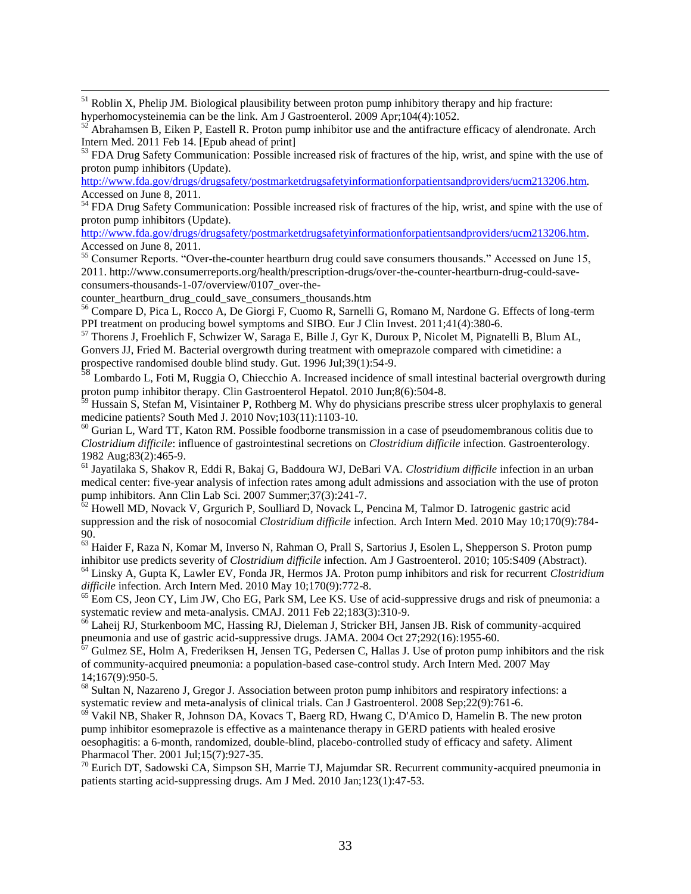$<sup>51</sup>$  Roblin X, Phelip JM. Biological plausibility between proton pump inhibitory therapy and hip fracture:</sup> hyperhomocysteinemia can be the link. Am J Gastroenterol. 2009 Apr;104(4):1052.

<sup>53</sup> FDA Drug Safety Communication: Possible increased risk of fractures of the hip, wrist, and spine with the use of proton pump inhibitors (Update).

[http://www.fda.gov/drugs/drugsafety/postmarketdrugsafetyinformationforpatientsandproviders/ucm213206.htm.](http://www.fda.gov/drugs/drugsafety/postmarketdrugsafetyinformationforpatientsandproviders/ucm213206.htm) Accessed on June 8, 2011.

<sup>54</sup> FDA Drug Safety Communication: Possible increased risk of fractures of the hip, wrist, and spine with the use of proton pump inhibitors (Update).

[http://www.fda.gov/drugs/drugsafety/postmarketdrugsafetyinformationforpatientsandproviders/ucm213206.htm.](http://www.fda.gov/drugs/drugsafety/postmarketdrugsafetyinformationforpatientsandproviders/ucm213206.htm) Accessed on June 8, 2011.

55 Consumer Reports. "Over-the-counter heartburn drug could save consumers thousands." Accessed on June 15, 2011. http://www.consumerreports.org/health/prescription-drugs/over-the-counter-heartburn-drug-could-saveconsumers-thousands-1-07/overview/0107\_over-the-

counter\_heartburn\_drug\_could\_save\_consumers\_thousands.htm

 $\overline{a}$ 

<sup>56</sup> Compare D, Pica L, Rocco A, De Giorgi F, Cuomo R, Sarnelli G, Romano M, Nardone G. Effects of long-term PPI treatment on producing bowel symptoms and SIBO. Eur J Clin Invest. 2011;41(4):380-6.

<sup>57</sup> Thorens J, Froehlich F, Schwizer W, Saraga E, Bille J, Gyr K, Duroux P, Nicolet M, Pignatelli B, Blum AL, Gonvers JJ, Fried M. Bacterial overgrowth during treatment with omeprazole compared with cimetidine: a prospective randomised double blind study. Gut. 1996 Jul;39(1):54-9.

 $58 \text{ Lombardo L}$ , Foti M, Ruggia O, Chiecchio A. Increased incidence of small intestinal bacterial overgrowth during proton pump inhibitor therapy. Clin Gastroenterol Hepatol. 2010 Jun;8(6):504-8.

<sup>59</sup> Hussain S, Stefan M, Visintainer P, Rothberg M. Why do physicians prescribe stress ulcer prophylaxis to general medicine patients? South Med J. 2010 Nov;103(11):1103-10.

 $60$  Gurian L, Ward TT, Katon RM. Possible foodborne transmission in a case of pseudomembranous colitis due to *Clostridium difficile*: influence of gastrointestinal secretions on *Clostridium difficile* infection. Gastroenterology. 1982 Aug;83(2):465-9.

<sup>61</sup> Jayatilaka S, Shakov R, Eddi R, Bakaj G, Baddoura WJ, DeBari VA. *Clostridium difficile* infection in an urban medical center: five-year analysis of infection rates among adult admissions and association with the use of proton pump inhibitors. Ann Clin Lab Sci. 2007 Summer;37(3):241-7.

 $62$  Howell MD, Novack V, Grgurich P, Soulliard D, Novack L, Pencina M, Talmor D. Iatrogenic gastric acid suppression and the risk of nosocomial *Clostridium difficile* infection. Arch Intern Med. 2010 May 10;170(9):784- 90.

<sup>63</sup> Haider F, Raza N, Komar M, Inverso N, Rahman O, Prall S, Sartorius J, Esolen L, Shepperson S. Proton pump inhibitor use predicts severity of *Clostridium difficile* infection. Am J Gastroenterol. 2010; 105:S409 (Abstract).

<sup>64</sup> Linsky A, Gupta K, Lawler EV, Fonda JR, Hermos JA. Proton pump inhibitors and risk for recurrent *Clostridium difficile* infection. Arch Intern Med. 2010 May 10;170(9):772-8.

 $^{65}$  Eom CS, Jeon CY, Lim JW, Cho EG, Park SM, Lee KS. Use of acid-suppressive drugs and risk of pneumonia: a systematic review and meta-analysis. CMAJ. 2011 Feb 22;183(3):310-9.

<sup>66</sup> Laheij RJ, Sturkenboom MC, Hassing RJ, Dieleman J, Stricker BH, Jansen JB. Risk of community-acquired pneumonia and use of gastric acid-suppressive drugs. JAMA. 2004 Oct 27;292(16):1955-60.

 $67$  Gulmez SE, Holm A, Frederiksen H, Jensen TG, Pedersen C, Hallas J. Use of proton pump inhibitors and the risk of community-acquired pneumonia: a population-based case-control study. Arch Intern Med. 2007 May 14;167(9):950-5.

<sup>68</sup> Sultan N, Nazareno J, Gregor J. Association between proton pump inhibitors and respiratory infections: a systematic review and meta-analysis of clinical trials. Can J Gastroenterol. 2008 Sep;22(9):761-6.

<sup>69</sup> Vakil NB, Shaker R, Johnson DA, Kovacs T, Baerg RD, Hwang C, D'Amico D, Hamelin B. The new proton pump inhibitor esomeprazole is effective as a maintenance therapy in GERD patients with healed erosive oesophagitis: a 6-month, randomized, double-blind, placebo-controlled study of efficacy and safety. Aliment Pharmacol Ther. 2001 Jul;15(7):927-35.

 $70$  Eurich DT, Sadowski CA, Simpson SH, Marrie TJ, Majumdar SR. Recurrent community-acquired pneumonia in patients starting acid-suppressing drugs. Am J Med. 2010 Jan;123(1):47-53.

<sup>52</sup> Abrahamsen B, Eiken P, Eastell R. Proton pump inhibitor use and the antifracture efficacy of alendronate. Arch Intern Med. 2011 Feb 14. [Epub ahead of print]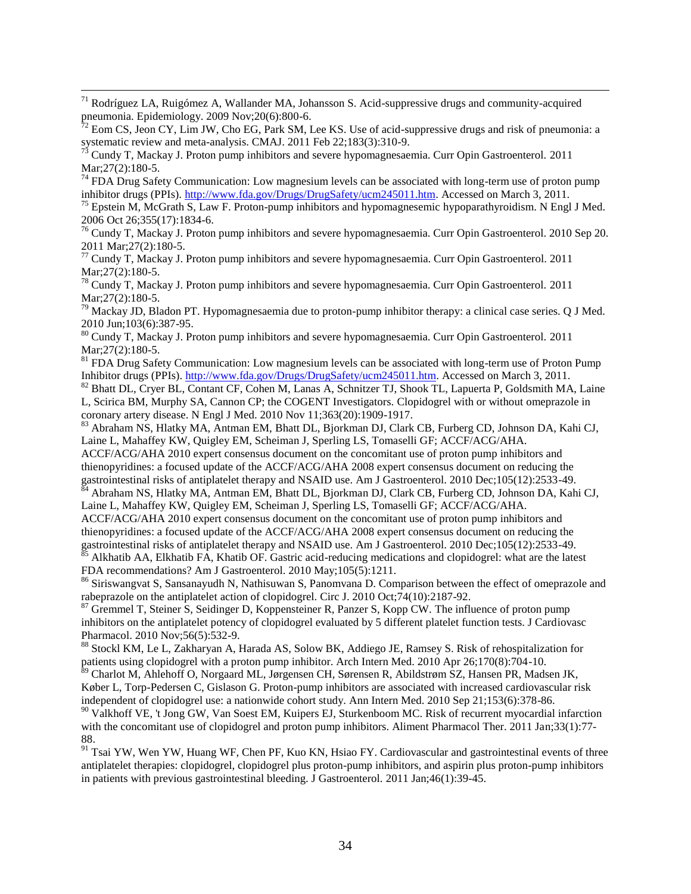$71$  Rodríguez LA, Ruigómez A, Wallander MA, Johansson S. Acid-suppressive drugs and community-acquired pneumonia. Epidemiology. 2009 Nov;20(6):800-6.

 $\overline{a}$ 

 $74$  FDA Drug Safety Communication: Low magnesium levels can be associated with long-term use of proton pump inhibitor drugs (PPIs)[. http://www.fda.gov/Drugs/DrugSafety/ucm245011.htm.](http://www.fda.gov/Drugs/DrugSafety/ucm245011.htm) Accessed on March 3, 2011.

<sup>75</sup> Epstein M, McGrath S, Law F. Proton-pump inhibitors and hypomagnesemic hypoparathyroidism. N Engl J Med. 2006 Oct 26;355(17):1834-6.

<sup>76</sup> Cundy T, Mackay J. Proton pump inhibitors and severe hypomagnesaemia. Curr Opin Gastroenterol. 2010 Sep 20. 2011 Mar;27(2):180-5.

 $77$  Cundy T, Mackay J. Proton pump inhibitors and severe hypomagnesaemia. Curr Opin Gastroenterol. 2011 Mar; 27(2): 180-5.

<sup>78</sup> Cundy T, Mackay J. Proton pump inhibitors and severe hypomagnesaemia. Curr Opin Gastroenterol. 2011 Mar; 27(2): 180-5.

 $79$  Mackay JD, Bladon PT. Hypomagnesaemia due to proton-pump inhibitor therapy: a clinical case series. Q J Med. 2010 Jun;103(6):387-95.

<sup>80</sup> Cundy T, Mackay J. Proton pump inhibitors and severe hypomagnesaemia. Curr Opin Gastroenterol. 2011 Mar; 27(2): 180-5.

<sup>81</sup> FDA Drug Safety Communication: Low magnesium levels can be associated with long-term use of Proton Pump Inhibitor drugs (PPIs). [http://www.fda.gov/Drugs/DrugSafety/ucm245011.htm.](http://www.fda.gov/Drugs/DrugSafety/ucm245011.htm) Accessed on March 3, 2011.

<sup>82</sup> Bhatt DL, Cryer BL, Contant CF, Cohen M, Lanas A, Schnitzer TJ, Shook TL, Lapuerta P, Goldsmith MA, Laine L, Scirica BM, Murphy SA, Cannon CP; the COGENT Investigators. Clopidogrel with or without omeprazole in coronary artery disease. N Engl J Med. 2010 Nov 11;363(20):1909-1917.

<sup>83</sup> Abraham NS, Hlatky MA, Antman EM, Bhatt DL, Bjorkman DJ, Clark CB, Furberg CD, Johnson DA, Kahi CJ, Laine L, Mahaffey KW, Quigley EM, Scheiman J, Sperling LS, Tomaselli GF; ACCF/ACG/AHA.

ACCF/ACG/AHA 2010 expert consensus document on the concomitant use of proton pump inhibitors and thienopyridines: a focused update of the ACCF/ACG/AHA 2008 expert consensus document on reducing the gastrointestinal risks of antiplatelet therapy and NSAID use. Am J Gastroenterol. 2010 Dec;105(12):2533-49.

 $^{84}$  Abraham NS, Hlatky MA, Antman EM, Bhatt DL, Bjorkman DJ, Clark CB, Furberg CD, Johnson DA, Kahi CJ, Laine L, Mahaffey KW, Quigley EM, Scheiman J, Sperling LS, Tomaselli GF; ACCF/ACG/AHA.

ACCF/ACG/AHA 2010 expert consensus document on the concomitant use of proton pump inhibitors and thienopyridines: a focused update of the ACCF/ACG/AHA 2008 expert consensus document on reducing the gastrointestinal risks of antiplatelet therapy and NSAID use. Am J Gastroenterol. 2010 Dec;105(12):2533-49. <sup>85</sup> Alkhatib AA, Elkhatib FA, Khatib OF. Gastric acid-reducing medications and clopidogrel: what are the latest FDA recommendations? Am J Gastroenterol. 2010 May;105(5):1211.

<sup>86</sup> Siriswangvat S, Sansanayudh N, Nathisuwan S, Panomvana D. Comparison between the effect of omeprazole and rabeprazole on the antiplatelet action of clopidogrel. Circ J. 2010 Oct;74(10):2187-92.

<sup>87</sup> Gremmel T, Steiner S, Seidinger D, Koppensteiner R, Panzer S, Kopp CW. The influence of proton pump inhibitors on the antiplatelet potency of clopidogrel evaluated by 5 different platelet function tests. J Cardiovasc Pharmacol. 2010 Nov;56(5):532-9.

88 Stockl KM, Le L, Zakharyan A, Harada AS, Solow BK, Addiego JE, Ramsey S. Risk of rehospitalization for patients using clopidogrel with a proton pump inhibitor. Arch Intern Med. 2010 Apr 26;170(8):704-10.

<sup>89</sup> Charlot M, Ahlehoff O, Norgaard ML, Jørgensen CH, Sørensen R, Abildstrøm SZ, Hansen PR, Madsen JK, Køber L, Torp-Pedersen C, Gislason G. Proton-pump inhibitors are associated with increased cardiovascular risk independent of clopidogrel use: a nationwide cohort study. Ann Intern Med. 2010 Sep 21;153(6):378-86.

<sup>90</sup> Valkhoff VE, 't Jong GW, Van Soest EM, Kuipers EJ, Sturkenboom MC. Risk of recurrent myocardial infarction with the concomitant use of clopidogrel and proton pump inhibitors. Aliment Pharmacol Ther. 2011 Jan;33(1):77-88.

<sup>91</sup> Tsai YW, Wen YW, Huang WF, Chen PF, Kuo KN, Hsiao FY. Cardiovascular and gastrointestinal events of three antiplatelet therapies: clopidogrel, clopidogrel plus proton-pump inhibitors, and aspirin plus proton-pump inhibitors in patients with previous gastrointestinal bleeding. J Gastroenterol. 2011 Jan;46(1):39-45.

 $72$  Eom CS, Jeon CY, Lim JW, Cho EG, Park SM, Lee KS. Use of acid-suppressive drugs and risk of pneumonia: a systematic review and meta-analysis. CMAJ. 2011 Feb 22;183(3):310-9.

 $^{75}$  Cundy T, Mackay J. Proton pump inhibitors and severe hypomagnesaemia. Curr Opin Gastroenterol. 2011 Mar; 27(2): 180-5.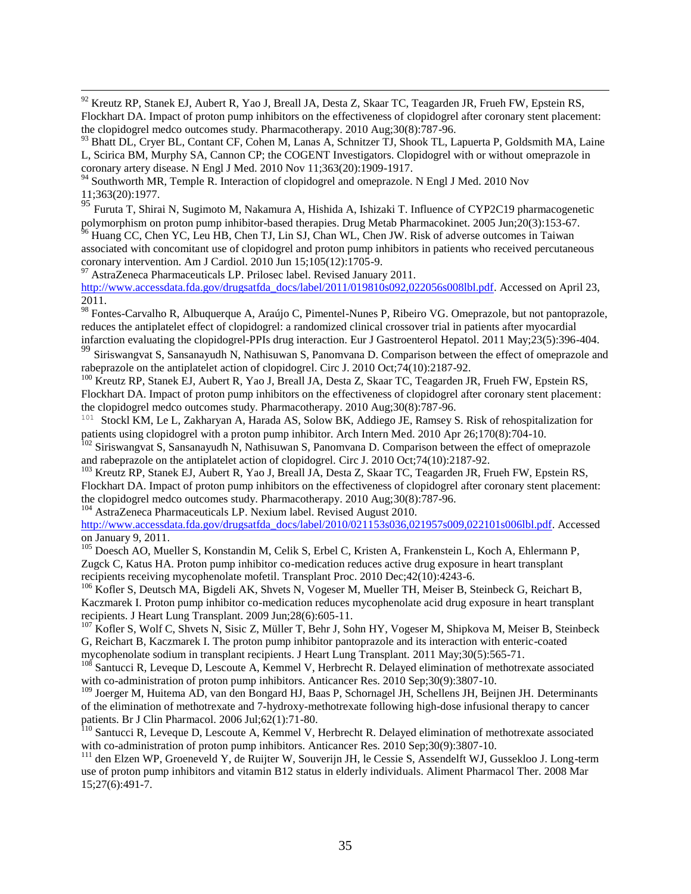$92$  Kreutz RP, Stanek EJ, Aubert R, Yao J, Breall JA, Desta Z, Skaar TC, Teagarden JR, Frueh FW, Epstein RS, Flockhart DA. Impact of proton pump inhibitors on the effectiveness of clopidogrel after coronary stent placement: the clopidogrel medco outcomes study. Pharmacotherapy. 2010 Aug;30(8):787-96.

<sup>93</sup> Bhatt DL, Cryer BL, Contant CF, Cohen M, Lanas A, Schnitzer TJ, Shook TL, Lapuerta P, Goldsmith MA, Laine L, Scirica BM, Murphy SA, Cannon CP; the COGENT Investigators. Clopidogrel with or without omeprazole in coronary artery disease. N Engl J Med. 2010 Nov 11;363(20):1909-1917.

<sup>94</sup> Southworth MR, Temple R. Interaction of clopidogrel and omeprazole. N Engl J Med. 2010 Nov 11;363(20):1977.

 $\overline{a}$ 

<sup>95</sup> Furuta T, Shirai N, Sugimoto M, Nakamura A, Hishida A, Ishizaki T. Influence of CYP2C19 pharmacogenetic polymorphism on proton pump inhibitor-based therapies. Drug Metab Pharmacokinet. 2005 Jun;20(3):153-67.

<sup>96</sup> Huang CC, Chen YC, Leu HB, Chen TJ, Lin SJ, Chan WL, Chen JW. Risk of adverse outcomes in Taiwan associated with concomitant use of clopidogrel and proton pump inhibitors in patients who received percutaneous coronary intervention. Am J Cardiol. 2010 Jun 15;105(12):1705-9.

<sup>97</sup> AstraZeneca Pharmaceuticals LP. Prilosec label. Revised January 2011. [http://www.accessdata.fda.gov/drugsatfda\\_docs/label/2011/019810s092,022056s008lbl.pdf.](http://www.accessdata.fda.gov/drugsatfda_docs/label/2011/019810s092,022056s008lbl.pdf) Accessed on April 23, 2011.

98 Fontes-Carvalho R, Albuquerque A, Araújo C, Pimentel-Nunes P, Ribeiro VG. Omeprazole, but not pantoprazole, reduces the antiplatelet effect of clopidogrel: a randomized clinical crossover trial in patients after myocardial infarction evaluating the clopidogrel-PPIs drug interaction. Eur J Gastroenterol Hepatol. 2011 May;23(5):396-404.

<sup>99</sup> Siriswangvat S, Sansanayudh N, Nathisuwan S, Panomvana D. Comparison between the effect of omeprazole and rabeprazole on the antiplatelet action of clopidogrel. Circ J. 2010 Oct;74(10):2187-92.

<sup>100</sup> Kreutz RP, Stanek EJ, Aubert R, Yao J, Breall JA, Desta Z, Skaar TC, Teagarden JR, Frueh FW, Epstein RS, Flockhart DA. Impact of proton pump inhibitors on the effectiveness of clopidogrel after coronary stent placement: the clopidogrel medco outcomes study. Pharmacotherapy. 2010 Aug;30(8):787-96.

<sup>101</sup> Stockl KM, Le L, Zakharyan A, Harada AS, Solow BK, Addiego JE, Ramsey S. Risk of rehospitalization for patients using clopidogrel with a proton pump inhibitor. Arch Intern Med. 2010 Apr 26;170(8):704-10.

 $102$  Siriswangvat S, Sansanayudh N, Nathisuwan S, Panomvana D. Comparison between the effect of omeprazole and rabeprazole on the antiplatelet action of clopidogrel. Circ J. 2010 Oct;74(10):2187-92.

<sup>103</sup> Kreutz RP, Stanek EJ, Aubert R, Yao J, Breall JA, Desta Z, Skaar TC, Teagarden JR, Frueh FW, Epstein RS, Flockhart DA. Impact of proton pump inhibitors on the effectiveness of clopidogrel after coronary stent placement: the clopidogrel medco outcomes study. Pharmacotherapy. 2010 Aug;30(8):787-96.

<sup>104</sup> AstraZeneca Pharmaceuticals LP. Nexium label. Revised August 2010.

[http://www.accessdata.fda.gov/drugsatfda\\_docs/label/2010/021153s036,021957s009,022101s006lbl.pdf.](http://www.accessdata.fda.gov/drugsatfda_docs/label/2010/021153s036,021957s009,022101s006lbl.pdf) Accessed on January 9, 2011.

<sup>105</sup> Doesch AO, Mueller S, Konstandin M, Celik S, Erbel C, Kristen A, Frankenstein L, Koch A, Ehlermann P, Zugck C, Katus HA. Proton pump inhibitor co-medication reduces active drug exposure in heart transplant recipients receiving mycophenolate mofetil. Transplant Proc. 2010 Dec;42(10):4243-6.

<sup>106</sup> Kofler S, Deutsch MA, Bigdeli AK, Shvets N, Vogeser M, Mueller TH, Meiser B, Steinbeck G, Reichart B, Kaczmarek I. Proton pump inhibitor co-medication reduces mycophenolate acid drug exposure in heart transplant recipients. J Heart Lung Transplant. 2009 Jun;28(6):605-11.

<sup>107</sup> Kofler S, Wolf C, Shvets N, Sisic Z, Müller T, Behr J, Sohn HY, Vogeser M, Shipkova M, Meiser B, Steinbeck G, Reichart B, Kaczmarek I. The proton pump inhibitor pantoprazole and its interaction with enteric-coated mycophenolate sodium in transplant recipients. J Heart Lung Transplant. 2011 May;30(5):565-71.

<sup>108</sup> Santucci R, Leveque D, Lescoute A, Kemmel V, Herbrecht R. Delayed elimination of methotrexate associated with co-administration of proton pump inhibitors. Anticancer Res. 2010 Sep;30(9):3807-10.

<sup>109</sup> Joerger M, Huitema AD, van den Bongard HJ, Baas P, Schornagel JH, Schellens JH, Beijnen JH. Determinants of the elimination of methotrexate and 7-hydroxy-methotrexate following high-dose infusional therapy to cancer patients. Br J Clin Pharmacol. 2006 Jul;62(1):71-80.

<sup>110</sup> Santucci R, Leveque D, Lescoute A, Kemmel V, Herbrecht R. Delayed elimination of methotrexate associated with co-administration of proton pump inhibitors. Anticancer Res. 2010 Sep;30(9):3807-10.

<sup>111</sup> den Elzen WP, Groeneveld Y, de Ruijter W, Souverijn JH, le Cessie S, Assendelft WJ, Gussekloo J. Long-term use of proton pump inhibitors and vitamin B12 status in elderly individuals. Aliment Pharmacol Ther. 2008 Mar 15;27(6):491-7.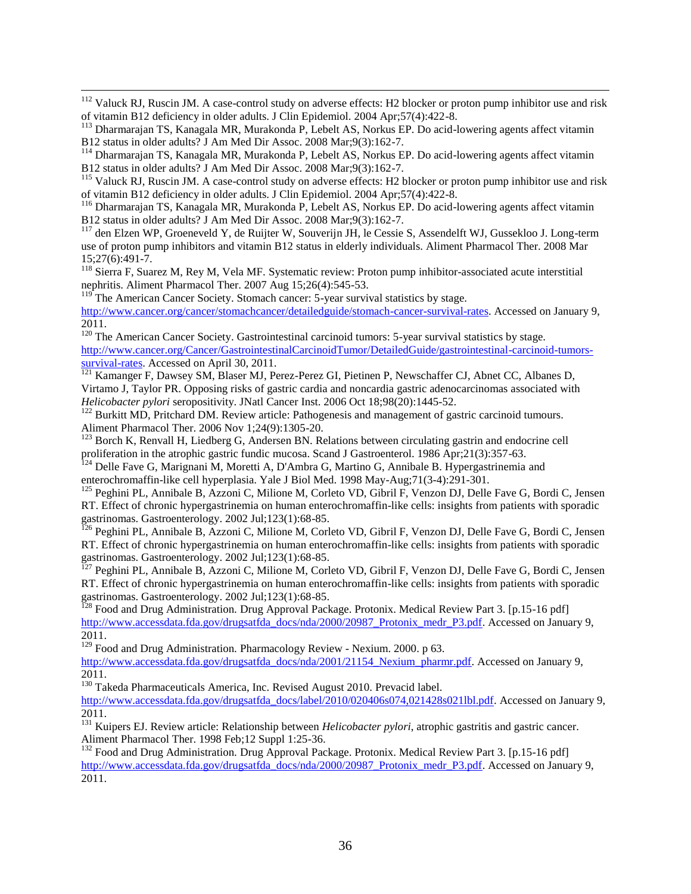$112$  Valuck RJ, Ruscin JM. A case-control study on adverse effects: H2 blocker or proton pump inhibitor use and risk of vitamin B12 deficiency in older adults. J Clin Epidemiol. 2004 Apr;57(4):422-8.

<sup>113</sup> Dharmarajan TS, Kanagala MR, Murakonda P, Lebelt AS, Norkus EP. Do acid-lowering agents affect vitamin B12 status in older adults? J Am Med Dir Assoc. 2008 Mar;9(3):162-7.

<sup>114</sup> Dharmarajan TS, Kanagala MR, Murakonda P, Lebelt AS, Norkus EP. Do acid-lowering agents affect vitamin B12 status in older adults? J Am Med Dir Assoc. 2008 Mar;9(3):162-7.

<sup>115</sup> Valuck RJ, Ruscin JM. A case-control study on adverse effects: H2 blocker or proton pump inhibitor use and risk of vitamin B12 deficiency in older adults. J Clin Epidemiol. 2004 Apr;57(4):422-8.

<sup>116</sup> Dharmarajan TS, Kanagala MR, Murakonda P, Lebelt AS, Norkus EP. Do acid-lowering agents affect vitamin B12 status in older adults? J Am Med Dir Assoc. 2008 Mar;9(3):162-7.

<sup>117</sup> den Elzen WP, Groeneveld Y, de Ruijter W, Souverijn JH, le Cessie S, Assendelft WJ, Gussekloo J. Long-term use of proton pump inhibitors and vitamin B12 status in elderly individuals. Aliment Pharmacol Ther. 2008 Mar 15;27(6):491-7.

<sup>118</sup> Sierra F, Suarez M, Rey M, Vela MF. Systematic review: Proton pump inhibitor-associated acute interstitial nephritis. Aliment Pharmacol Ther. 2007 Aug 15;26(4):545-53.

 $119$ <sup>The</sup> American Cancer Society. Stomach cancer: 5-year survival statistics by stage.

 $\overline{a}$ 

[http://www.cancer.org/cancer/stomachcancer/detailedguide/stomach-cancer-survival-rates.](http://www.cancer.org/cancer/stomachcancer/detailedguide/stomach-cancer-survival-rates) Accessed on January 9, 2011.

<sup>120</sup> The American Cancer Society. Gastrointestinal carcinoid tumors: 5-year survival statistics by stage. [http://www.cancer.org/Cancer/GastrointestinalCarcinoidTumor/DetailedGuide/gastrointestinal-carcinoid-tumors](http://www.cancer.org/Cancer/GastrointestinalCarcinoidTumor/DetailedGuide/gastrointestinal-carcinoid-tumors-survival-rates)[survival-rates.](http://www.cancer.org/Cancer/GastrointestinalCarcinoidTumor/DetailedGuide/gastrointestinal-carcinoid-tumors-survival-rates) Accessed on April 30, 2011.

<sup>121</sup> Kamanger F, Dawsey SM, Blaser MJ, Perez-Perez GI, Pietinen P, Newschaffer CJ, Abnet CC, Albanes D, Virtamo J, Taylor PR. Opposing risks of gastric cardia and noncardia gastric adenocarcinomas associated with *Helicobacter pylori* seropositivity. JNatl Cancer Inst. 2006 Oct 18;98(20):1445-52.

<sup>122</sup> Burkitt MD, Pritchard DM. Review article: Pathogenesis and management of gastric carcinoid tumours. Aliment Pharmacol Ther. 2006 Nov 1;24(9):1305-20.

<sup>123</sup> Borch K, Renvall H, Liedberg G, Andersen BN. Relations between circulating gastrin and endocrine cell proliferation in the atrophic gastric fundic mucosa. Scand J Gastroenterol. 1986 Apr;21(3):357-63.

<sup>124</sup> Delle Fave G, Marignani M, Moretti A, D'Ambra G, Martino G, Annibale B. Hypergastrinemia and enterochromaffin-like cell hyperplasia. Yale J Biol Med. 1998 May-Aug;71(3-4):291-301.

125 Peghini PL, Annibale B, Azzoni C, Milione M, Corleto VD, Gibril F, Venzon DJ, Delle Fave G, Bordi C, Jensen RT. Effect of chronic hypergastrinemia on human enterochromaffin-like cells: insights from patients with sporadic gastrinomas. Gastroenterology. 2002 Jul;123(1):68-85.

<sup>126</sup> Peghini PL, Annibale B, Azzoni C, Milione M, Corleto VD, Gibril F, Venzon DJ, Delle Fave G, Bordi C, Jensen RT. Effect of chronic hypergastrinemia on human enterochromaffin-like cells: insights from patients with sporadic gastrinomas. Gastroenterology. 2002 Jul;123(1):68-85.

<sup>127</sup> Peghini PL, Annibale B, Azzoni C, Milione M, Corleto VD, Gibril F, Venzon DJ, Delle Fave G, Bordi C, Jensen RT. Effect of chronic hypergastrinemia on human enterochromaffin-like cells: insights from patients with sporadic gastrinomas. Gastroenterology. 2002 Jul;123(1):68-85.

<sup>128</sup> Food and Drug Administration. Drug Approval Package. Protonix. Medical Review Part 3. [p.15-16 pdf] [http://www.accessdata.fda.gov/drugsatfda\\_docs/nda/2000/20987\\_Protonix\\_medr\\_P3.pdf.](http://www.accessdata.fda.gov/drugsatfda_docs/nda/2000/20987_Protonix_medr_P3.pdf) Accessed on January 9, 2011.

<sup>129</sup> Food and Drug Administration. Pharmacology Review - Nexium. 2000. p 63.

[http://www.accessdata.fda.gov/drugsatfda\\_docs/nda/2001/21154\\_Nexium\\_pharmr.pdf.](http://www.accessdata.fda.gov/drugsatfda_docs/nda/2001/21154_Nexium_pharmr.pdf) Accessed on January 9, 2011.

<sup>130</sup> Takeda Pharmaceuticals America, Inc. Revised August 2010. Prevacid label.

http://www.accessdata.fda.gov/drugsatfda\_docs/label/2010/020406s074.021428s021lbl.pdf. Accessed on January 9, 2011.

<sup>131</sup> Kuipers EJ. Review article: Relationship between *Helicobacter pylori*, atrophic gastritis and gastric cancer. Aliment Pharmacol Ther. 1998 Feb;12 Suppl 1:25-36.

<sup>132</sup> Food and Drug Administration. Drug Approval Package. Protonix. Medical Review Part 3. [p.15-16 pdf] [http://www.accessdata.fda.gov/drugsatfda\\_docs/nda/2000/20987\\_Protonix\\_medr\\_P3.pdf.](http://www.accessdata.fda.gov/drugsatfda_docs/nda/2000/20987_Protonix_medr_P3.pdf) Accessed on January 9, 2011.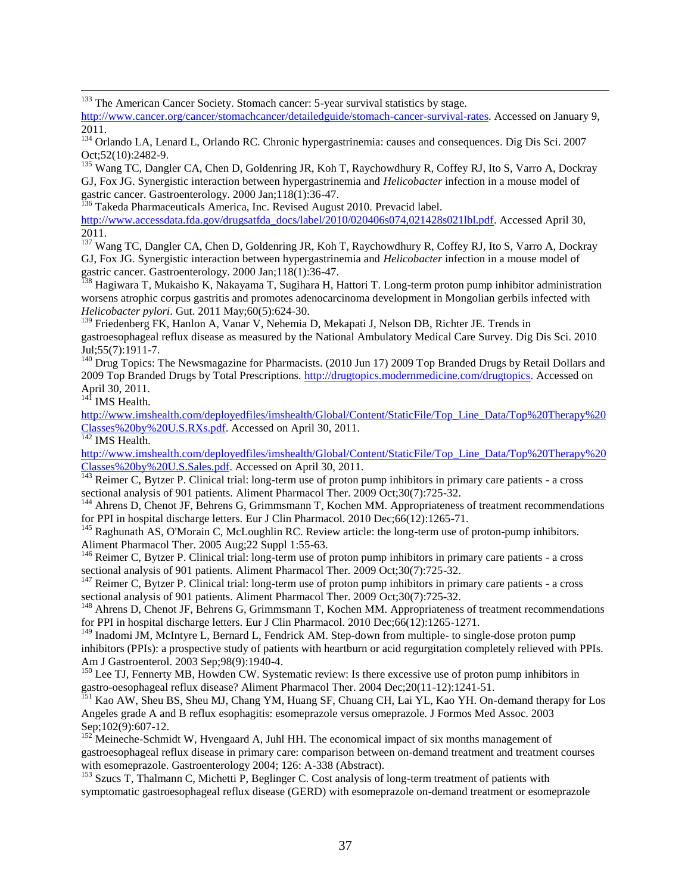<sup>133</sup> The American Cancer Society. Stomach cancer: 5-year survival statistics by stage.

[http://www.cancer.org/cancer/stomachcancer/detailedguide/stomach-cancer-survival-rates.](http://www.cancer.org/cancer/stomachcancer/detailedguide/stomach-cancer-survival-rates) Accessed on January 9, 2011.

<sup>135</sup> Wang TC, Dangler CA, Chen D, Goldenring JR, Koh T, Raychowdhury R, Coffey RJ, Ito S, Varro A, Dockray GJ, Fox JG. Synergistic interaction between hypergastrinemia and *Helicobacter* infection in a mouse model of gastric cancer. Gastroenterology. 2000 Jan;118(1):36-47.

<sup>136</sup> Takeda Pharmaceuticals America, Inc. Revised August 2010. Prevacid label.

[http://www.accessdata.fda.gov/drugsatfda\\_docs/label/2010/020406s074,021428s021lbl.pdf.](http://www.accessdata.fda.gov/drugsatfda_docs/label/2010/020406s074,021428s021lbl.pdf) Accessed April 30, 2011.

<sup>137</sup> Wang TC, Dangler CA, Chen D, Goldenring JR, Koh T, Raychowdhury R, Coffey RJ, Ito S, Varro A, Dockray GJ, Fox JG. Synergistic interaction between hypergastrinemia and *Helicobacter* infection in a mouse model of gastric cancer. Gastroenterology. 2000 Jan;118(1):36-47.

<sup>138</sup> Hagiwara T, Mukaisho K, Nakayama T, Sugihara H, Hattori T. Long-term proton pump inhibitor administration worsens atrophic corpus gastritis and promotes adenocarcinoma development in Mongolian gerbils infected with *Helicobacter pylori*. Gut. 2011 May;60(5):624-30.

<sup>139</sup> Friedenberg FK, Hanlon A, Vanar V, Nehemia D, Mekapati J, Nelson DB, Richter JE. Trends in gastroesophageal reflux disease as measured by the National Ambulatory Medical Care Survey. Dig Dis Sci. 2010 Jul;55(7):1911-7.

<sup>140</sup> Drug Topics: The Newsmagazine for Pharmacists. (2010 Jun 17) 2009 Top Branded Drugs by Retail Dollars and 2009 Top Branded Drugs by Total Prescriptions. [http://drugtopics.modernmedicine.com/drugtopics.](http://drugtopics.modernmedicine.com/drugtopics) Accessed on April 30, 2011.

 $14\overline{1}$  IMS Health.

 $\overline{a}$ 

[http://www.imshealth.com/deployedfiles/imshealth/Global/Content/StaticFile/Top\\_Line\\_Data/Top%20Therapy%20](http://www.imshealth.com/deployedfiles/imshealth/Global/Content/StaticFile/Top_Line_Data/Top%20Therapy%20Classes%20by%20U.S.RXs.pdf) [Classes%20by%20U.S.RXs.pdf.](http://www.imshealth.com/deployedfiles/imshealth/Global/Content/StaticFile/Top_Line_Data/Top%20Therapy%20Classes%20by%20U.S.RXs.pdf) Accessed on April 30, 2011.

 $\frac{142}{142}$  IMS Health.

[http://www.imshealth.com/deployedfiles/imshealth/Global/Content/StaticFile/Top\\_Line\\_Data/Top%20Therapy%20](http://www.imshealth.com/deployedfiles/imshealth/Global/Content/StaticFile/Top_Line_Data/Top%20Therapy%20Classes%20by%20U.S.Sales.pdf) [Classes%20by%20U.S.Sales.pdf.](http://www.imshealth.com/deployedfiles/imshealth/Global/Content/StaticFile/Top_Line_Data/Top%20Therapy%20Classes%20by%20U.S.Sales.pdf) Accessed on April 30, 2011.

 $\frac{1}{143}$  Reimer C, Bytzer P. Clinical trial: long-term use of proton pump inhibitors in primary care patients - a cross sectional analysis of 901 patients. Aliment Pharmacol Ther. 2009 Oct;30(7):725-32.

<sup>144</sup> Ahrens D, Chenot JF, Behrens G, Grimmsmann T, Kochen MM. Appropriateness of treatment recommendations for PPI in hospital discharge letters. Eur J Clin Pharmacol. 2010 Dec;66(12):1265-71.

<sup>145</sup> Raghunath AS, O'Morain C, McLoughlin RC. Review article: the long-term use of proton-pump inhibitors. Aliment Pharmacol Ther. 2005 Aug;22 Suppl 1:55-63.

<sup>146</sup> Reimer C, Bytzer P. Clinical trial: long-term use of proton pump inhibitors in primary care patients - a cross sectional analysis of 901 patients. Aliment Pharmacol Ther. 2009 Oct;30(7):725-32.

<sup>147</sup> Reimer C, Bytzer P. Clinical trial: long-term use of proton pump inhibitors in primary care patients - a cross sectional analysis of 901 patients. Aliment Pharmacol Ther. 2009 Oct;30(7):725-32.

<sup>148</sup> Ahrens D, Chenot JF, Behrens G, Grimmsmann T, Kochen MM. Appropriateness of treatment recommendations for PPI in hospital discharge letters. Eur J Clin Pharmacol. 2010 Dec;66(12):1265-1271.

<sup>149</sup> Inadomi JM, McIntyre L, Bernard L, Fendrick AM. Step-down from multiple- to single-dose proton pump inhibitors (PPIs): a prospective study of patients with heartburn or acid regurgitation completely relieved with PPIs. Am J Gastroenterol. 2003 Sep;98(9):1940-4.

 $150$  Lee TJ, Fennerty MB, Howden CW. Systematic review: Is there excessive use of proton pump inhibitors in gastro-oesophageal reflux disease? Aliment Pharmacol Ther. 2004 Dec;20(11-12):1241-51.

<sup>151</sup> Kao AW, Sheu BS, Sheu MJ, Chang YM, Huang SF, Chuang CH, Lai YL, Kao YH. On-demand therapy for Los Angeles grade A and B reflux esophagitis: esomeprazole versus omeprazole. J Formos Med Assoc. 2003 Sep;102(9):607-12.

<sup>152</sup> Meineche-Schmidt W, Hvengaard A, Juhl HH. The economical impact of six months management of gastroesophageal reflux disease in primary care: comparison between on-demand treatment and treatment courses with esomeprazole. Gastroenterology 2004; 126: A-338 (Abstract).

<sup>153</sup> Szucs T, Thalmann C, Michetti P, Beglinger C. Cost analysis of long-term treatment of patients with symptomatic gastroesophageal reflux disease (GERD) with esomeprazole on-demand treatment or esomeprazole

<sup>&</sup>lt;sup>134</sup> Orlando LA, Lenard L, Orlando RC. Chronic hypergastrinemia: causes and consequences. Dig Dis Sci. 2007 Oct;52(10):2482-9.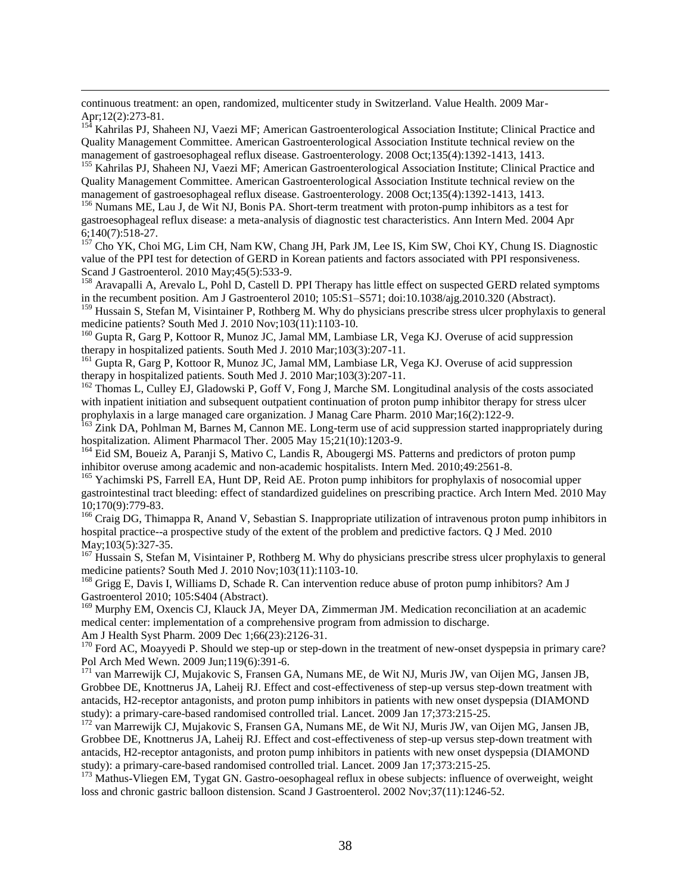continuous treatment: an open, randomized, multicenter study in Switzerland. Value Health. 2009 Mar-Apr; 12(2):273-81.

<sup>154</sup> Kahrilas PJ, Shaheen NJ, Vaezi MF; American Gastroenterological Association Institute; Clinical Practice and Quality Management Committee. American Gastroenterological Association Institute technical review on the management of gastroesophageal reflux disease. Gastroenterology. 2008 Oct;135(4):1392-1413, 1413.

<sup>155</sup> Kahrilas PJ, Shaheen NJ, Vaezi MF; American Gastroenterological Association Institute; Clinical Practice and Quality Management Committee. American Gastroenterological Association Institute technical review on the management of gastroesophageal reflux disease. Gastroenterology. 2008 Oct;135(4):1392-1413, 1413.

<sup>156</sup> Numans ME, Lau J, de Wit NJ, Bonis PA. Short-term treatment with proton-pump inhibitors as a test for gastroesophageal reflux disease: a meta-analysis of diagnostic test characteristics. Ann Intern Med. 2004 Apr 6;140(7):518-27.

<sup>157</sup> Cho YK, Choi MG, Lim CH, Nam KW, Chang JH, Park JM, Lee IS, Kim SW, Choi KY, Chung IS. Diagnostic value of the PPI test for detection of GERD in Korean patients and factors associated with PPI responsiveness. Scand J Gastroenterol. 2010 May;45(5):533-9.

<sup>158</sup> Aravapalli A, Arevalo L, Pohl D, Castell D. PPI Therapy has little effect on suspected GERD related symptoms in the recumbent position. Am J Gastroenterol 2010; 105:S1–S571; doi:10.1038/ajg.2010.320 (Abstract).

<sup>159</sup> Hussain S, Stefan M, Visintainer P, Rothberg M. Why do physicians prescribe stress ulcer prophylaxis to general medicine patients? South Med J. 2010 Nov;103(11):1103-10.

<sup>160</sup> Gupta R, Garg P, Kottoor R, Munoz JC, Jamal MM, Lambiase LR, Vega KJ. Overuse of acid suppression therapy in hospitalized patients. South Med J. 2010 Mar;103(3):207-11.

<sup>161</sup> Gupta R, Garg P, Kottoor R, Munoz JC, Jamal MM, Lambiase LR, Vega KJ. Overuse of acid suppression therapy in hospitalized patients. South Med J. 2010 Mar;103(3):207-11.

<sup>162</sup> Thomas L, Culley EJ, Gladowski P, Goff V, Fong J, Marche SM. Longitudinal analysis of the costs associated with inpatient initiation and subsequent outpatient continuation of proton pump inhibitor therapy for stress ulcer prophylaxis in a large managed care organization. J Manag Care Pharm. 2010 Mar;16(2):122-9.

<sup>163</sup> Zink DA, Pohlman M, Barnes M, Cannon ME. Long-term use of acid suppression started inappropriately during hospitalization. Aliment Pharmacol Ther. 2005 May 15;21(10):1203-9.

<sup>164</sup> Eid SM, Boueiz A, Paranji S, Mativo C, Landis R, Abougergi MS. Patterns and predictors of proton pump inhibitor overuse among academic and non-academic hospitalists. Intern Med. 2010;49:2561-8.

<sup>165</sup> Yachimski PS, Farrell EA, Hunt DP, Reid AE. Proton pump inhibitors for prophylaxis of nosocomial upper gastrointestinal tract bleeding: effect of standardized guidelines on prescribing practice. Arch Intern Med. 2010 May 10;170(9):779-83.

<sup>166</sup> Craig DG, Thimappa R, Anand V, Sebastian S. Inappropriate utilization of intravenous proton pump inhibitors in hospital practice--a prospective study of the extent of the problem and predictive factors. Q J Med. 2010 May;103(5):327-35.

<sup>167</sup> Hussain S, Stefan M, Visintainer P, Rothberg M. Why do physicians prescribe stress ulcer prophylaxis to general medicine patients? South Med J. 2010 Nov;103(11):1103-10.

<sup>168</sup> Grigg E, Davis I, Williams D, Schade R. Can intervention reduce abuse of proton pump inhibitors? Am J Gastroenterol 2010; 105:S404 (Abstract).

<sup>169</sup> Murphy EM, Oxencis CJ, Klauck JA, Meyer DA, Zimmerman JM. Medication reconciliation at an academic medical center: implementation of a comprehensive program from admission to discharge.

Am J Health Syst Pharm. 2009 Dec 1;66(23):2126-31.  $170$  Ford AC, Moayyedi P. Should we step-up or step-down in the treatment of new-onset dyspepsia in primary care?

Pol Arch Med Wewn. 2009 Jun;119(6):391-6.

 $\overline{a}$ 

<sup>171</sup> van Marrewijk CJ, Mujakovic S, Fransen GA, Numans ME, de Wit NJ, Muris JW, van Oijen MG, Jansen JB, Grobbee DE, Knottnerus JA, Laheij RJ. Effect and cost-effectiveness of step-up versus step-down treatment with antacids, H2-receptor antagonists, and proton pump inhibitors in patients with new onset dyspepsia (DIAMOND study): a primary-care-based randomised controlled trial. Lancet. 2009 Jan 17;373:215-25.

<sup>172</sup> van Marrewijk CJ, Mujakovic S, Fransen GA, Numans ME, de Wit NJ, Muris JW, van Oijen MG, Jansen JB, Grobbee DE, Knottnerus JA, Laheij RJ. Effect and cost-effectiveness of step-up versus step-down treatment with antacids, H2-receptor antagonists, and proton pump inhibitors in patients with new onset dyspepsia (DIAMOND study): a primary-care-based randomised controlled trial. Lancet. 2009 Jan 17;373:215-25.

<sup>173</sup> Mathus-Vliegen EM, Tygat GN. Gastro-oesophageal reflux in obese subjects: influence of overweight, weight loss and chronic gastric balloon distension. Scand J Gastroenterol. 2002 Nov;37(11):1246-52.